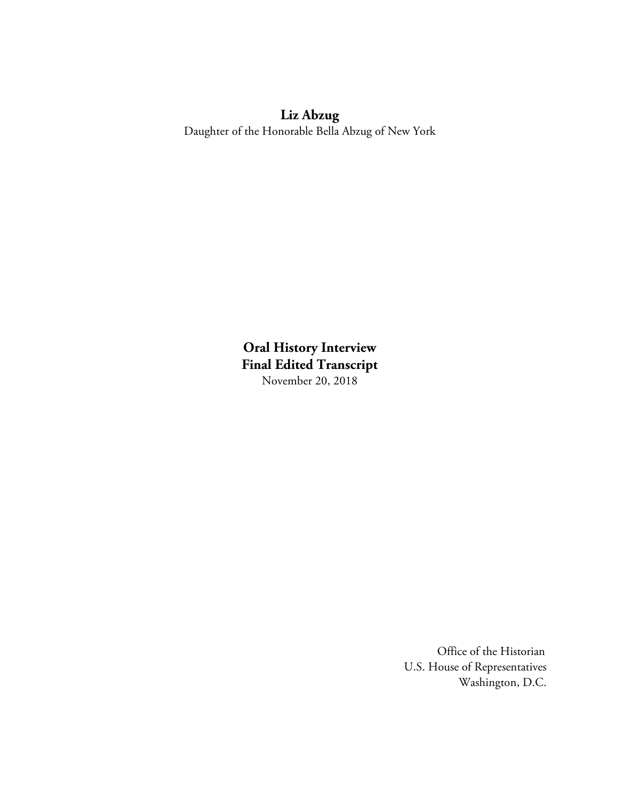# **Liz Abzug**

Daughter of the Honorable Bella Abzug of New York

**Oral History Interview Final Edited Transcript**  November 20, 2018

> Office of the Historian U.S. House of Representatives Washington, D.C.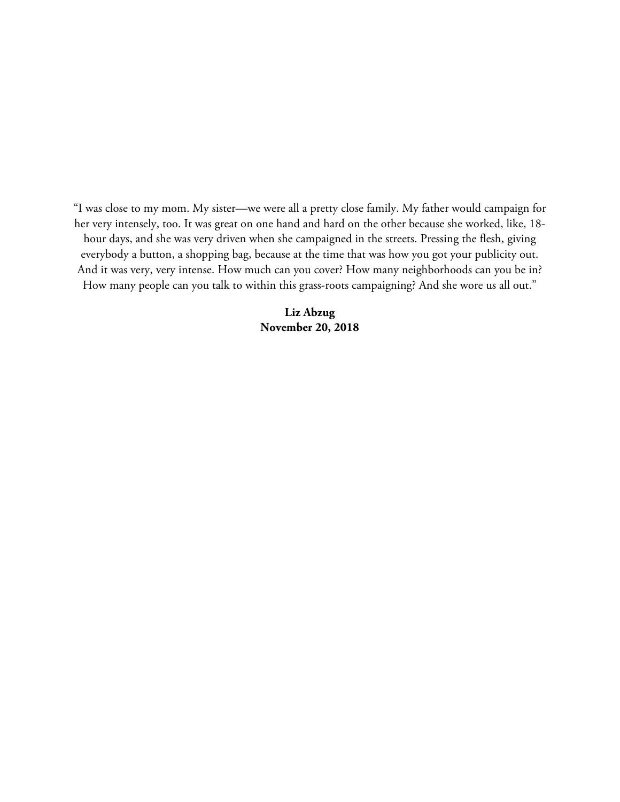"I was close to my mom. My sister—we were all a pretty close family. My father would campaign for her very intensely, too. It was great on one hand and hard on the other because she worked, like, 18 hour days, and she was very driven when she campaigned in the streets. Pressing the flesh, giving everybody a button, a shopping bag, because at the time that was how you got your publicity out. And it was very, very intense. How much can you cover? How many neighborhoods can you be in? How many people can you talk to within this grass-roots campaigning? And she wore us all out."

> **Liz Abzug November 20, 2018**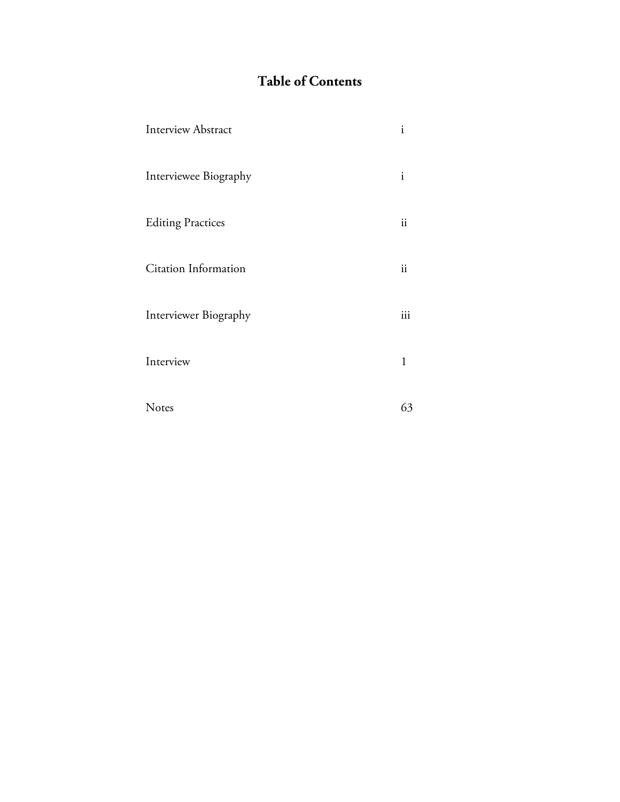# **Table of Contents**

| <b>Interview Abstract</b> | $\mathbf{i}$  |
|---------------------------|---------------|
| Interviewee Biography     | $\mathbf{i}$  |
| <b>Editing Practices</b>  | ii            |
| Citation Information      | $\mathbf{ii}$ |
| Interviewer Biography     | iii           |
| Interview                 | $\mathbf 1$   |
| <b>Notes</b>              | 63            |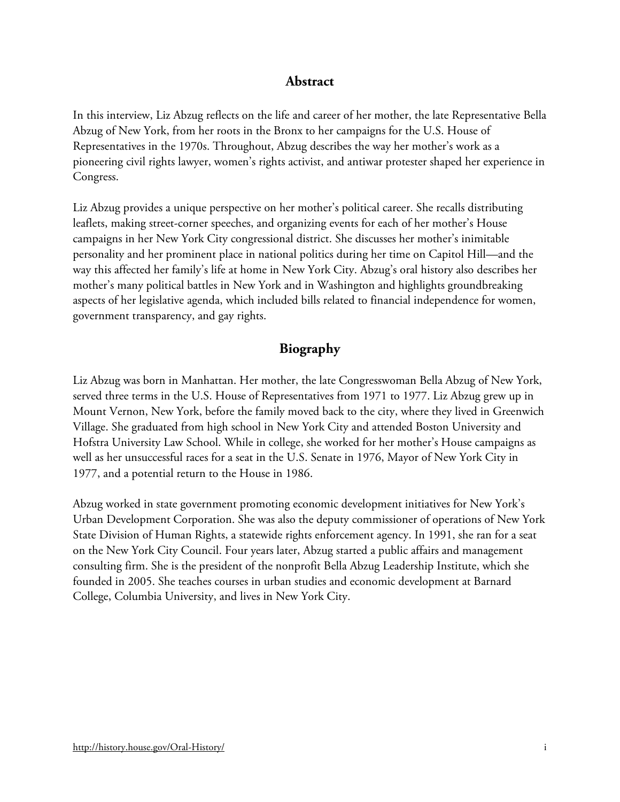### **Abstract**

In this interview, Liz Abzug reflects on the life and career of her mother, the late Representative Bella Abzug of New York, from her roots in the Bronx to her campaigns for the U.S. House of Representatives in the 1970s. Throughout, Abzug describes the way her mother's work as a pioneering civil rights lawyer, women's rights activist, and antiwar protester shaped her experience in Congress.

Liz Abzug provides a unique perspective on her mother's political career. She recalls distributing leaflets, making street-corner speeches, and organizing events for each of her mother's House campaigns in her New York City congressional district. She discusses her mother's inimitable personality and her prominent place in national politics during her time on Capitol Hill—and the way this affected her family's life at home in New York City. Abzug's oral history also describes her mother's many political battles in New York and in Washington and highlights groundbreaking aspects of her legislative agenda, which included bills related to financial independence for women, government transparency, and gay rights.

## **Biography**

Liz Abzug was born in Manhattan. Her mother, the late Congresswoman Bella Abzug of New York, served three terms in the U.S. House of Representatives from 1971 to 1977. Liz Abzug grew up in Mount Vernon, New York, before the family moved back to the city, where they lived in Greenwich Village. She graduated from high school in New York City and attended Boston University and Hofstra University Law School. While in college, she worked for her mother's House campaigns as well as her unsuccessful races for a seat in the U.S. Senate in 1976, Mayor of New York City in 1977, and a potential return to the House in 1986.

Abzug worked in state government promoting economic development initiatives for New York's Urban Development Corporation. She was also the deputy commissioner of operations of New York State Division of Human Rights, a statewide rights enforcement agency. In 1991, she ran for a seat on the New York City Council. Four years later, Abzug started a public affairs and management consulting firm. She is the president of the nonprofit Bella Abzug Leadership Institute, which she founded in 2005. She teaches courses in urban studies and economic development at Barnard College, Columbia University, and lives in New York City.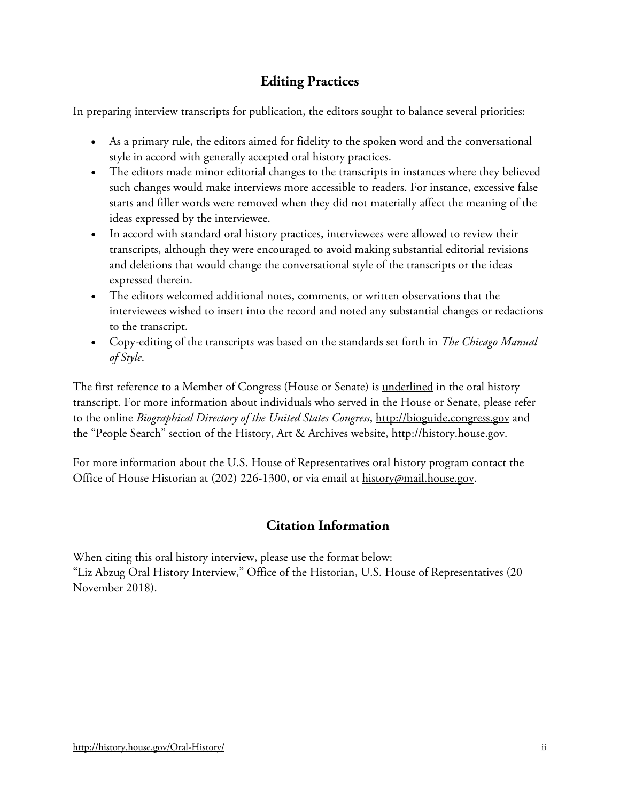## **Editing Practices**

In preparing interview transcripts for publication, the editors sought to balance several priorities:

- As a primary rule, the editors aimed for fidelity to the spoken word and the conversational style in accord with generally accepted oral history practices.
- The editors made minor editorial changes to the transcripts in instances where they believed such changes would make interviews more accessible to readers. For instance, excessive false starts and filler words were removed when they did not materially affect the meaning of the ideas expressed by the interviewee.
- In accord with standard oral history practices, interviewees were allowed to review their transcripts, although they were encouraged to avoid making substantial editorial revisions and deletions that would change the conversational style of the transcripts or the ideas expressed therein.
- The editors welcomed additional notes, comments, or written observations that the interviewees wished to insert into the record and noted any substantial changes or redactions to the transcript.
- Copy-editing of the transcripts was based on the standards set forth in *The Chicago Manual of Style*.

The first reference to a Member of Congress (House or Senate) is <u>underlined</u> in the oral history transcript. For more information about individuals who served in the House or Senate, please refer to the online *Biographical Directory of the United States Congress*, [http://bioguide.congress.gov](http://bioguide.congress.gov/) and the "People Search" section of the History, Art & Archives website, [http://history.house.gov.](http://history.house.gov/)

For more information about the U.S. House of Representatives oral history program contact the Office of House Historian at (202) 226-1300, or via email at [history@mail.house.gov.](file://CLERKFILER2/Oralhistories$/Interviews/People/Garrigan,%20Myles/Transcript/history@mail.house.gov)

## **Citation Information**

When citing this oral history interview, please use the format below: "Liz Abzug Oral History Interview," Office of the Historian, U.S. House of Representatives (20 November 2018).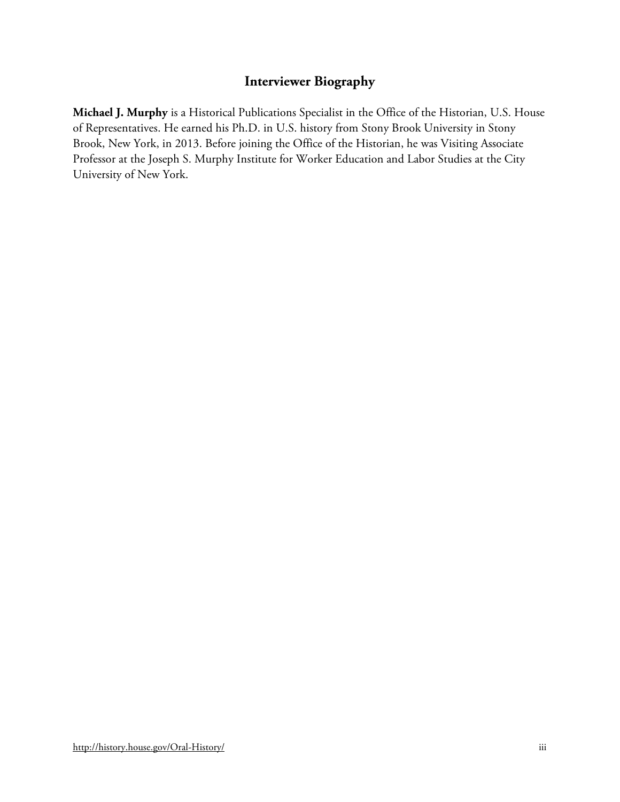## **Interviewer Biography**

**Michael J. Murphy** is a Historical Publications Specialist in the Office of the Historian, U.S. House of Representatives. He earned his Ph.D. in U.S. history from Stony Brook University in Stony Brook, New York, in 2013. Before joining the Office of the Historian, he was Visiting Associate Professor at the Joseph S. Murphy Institute for Worker Education and Labor Studies at the City University of New York.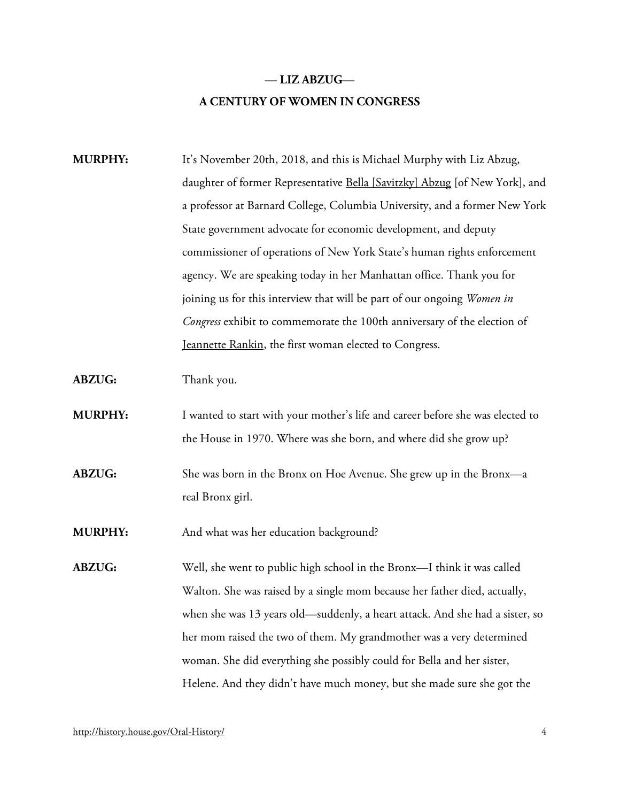## **— LIZ ABZUG— A CENTURY OF WOMEN IN CONGRESS**

**MURPHY:** It's November 20th, 2018, and this is Michael Murphy with Liz Abzug, daughter of former Representative [Bella \[Savitzky\] Abzug](http://bioguide.congress.gov/scripts/biodisplay.pl?index=A000018) [of New York], and a professor at Barnard College, Columbia University, and a former New York State government advocate for economic development, and deputy commissioner of operations of New York State's human rights enforcement agency. We are speaking today in her Manhattan office. Thank you for joining us for this interview that will be part of our ongoing *Women in Congress* exhibit to commemorate the 100th anniversary of the election of [Jeannette Rankin,](http://bioguide.congress.gov/scripts/biodisplay.pl?index=R000055) the first woman elected to Congress.

**ABZUG:** Thank you.

**MURPHY:** I wanted to start with your mother's life and career before she was elected to the House in 1970. Where was she born, and where did she grow up?

**ABZUG:** She was born in the Bronx on Hoe Avenue. She grew up in the Bronx—a real Bronx girl.

**MURPHY:** And what was her education background?

**ABZUG:** Well, she went to public high school in the Bronx—I think it was called Walton. She was raised by a single mom because her father died, actually, when she was 13 years old—suddenly, a heart attack. And she had a sister, so her mom raised the two of them. My grandmother was a very determined woman. She did everything she possibly could for Bella and her sister, Helene. And they didn't have much money, but she made sure she got the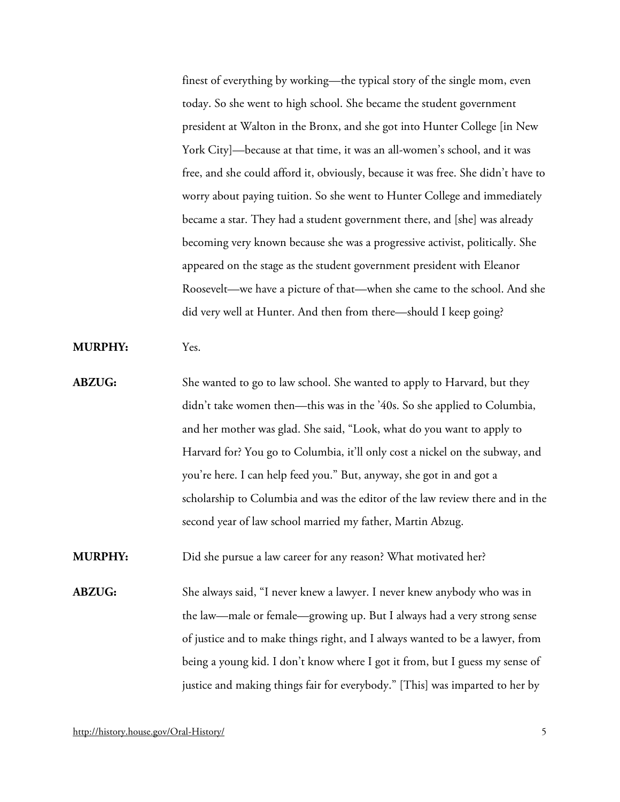finest of everything by working—the typical story of the single mom, even today. So she went to high school. She became the student government president at Walton in the Bronx, and she got into Hunter College [in New York City]—because at that time, it was an all-women's school, and it was free, and she could afford it, obviously, because it was free. She didn't have to worry about paying tuition. So she went to Hunter College and immediately became a star. They had a student government there, and [she] was already becoming very known because she was a progressive activist, politically. She appeared on the stage as the student government president with Eleanor Roosevelt—we have a picture of that—when she came to the school. And she did very well at Hunter. And then from there—should I keep going?

**MURPHY:** Yes.

**ABZUG:** She wanted to go to law school. She wanted to apply to Harvard, but they didn't take women then—this was in the '40s. So she applied to Columbia, and her mother was glad. She said, "Look, what do you want to apply to Harvard for? You go to Columbia, it'll only cost a nickel on the subway, and you're here. I can help feed you." But, anyway, she got in and got a scholarship to Columbia and was the editor of the law review there and in the second year of law school married my father, Martin Abzug.

**MURPHY:** Did she pursue a law career for any reason? What motivated her?

**ABZUG:** She always said, "I never knew a lawyer. I never knew anybody who was in the law—male or female—growing up. But I always had a very strong sense of justice and to make things right, and I always wanted to be a lawyer, from being a young kid. I don't know where I got it from, but I guess my sense of justice and making things fair for everybody." [This] was imparted to her by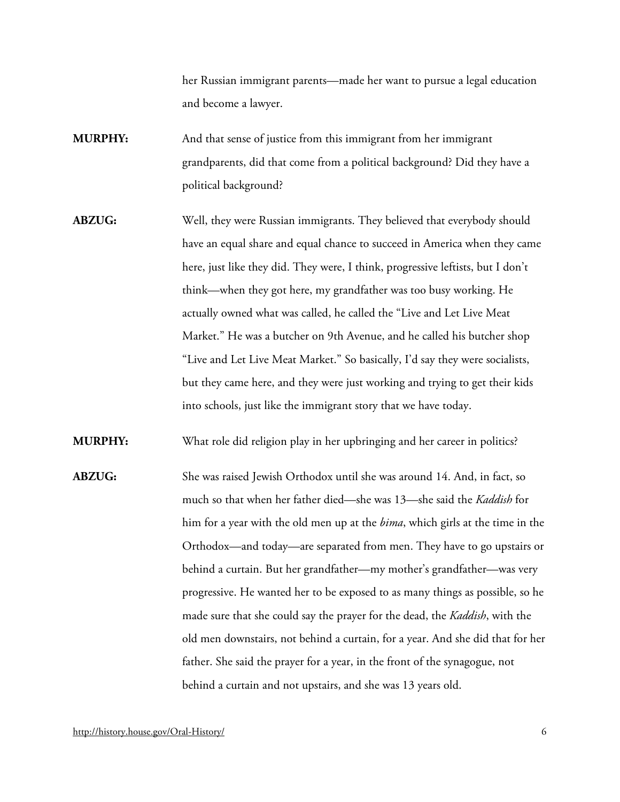her Russian immigrant parents—made her want to pursue a legal education and become a lawyer.

- **MURPHY:** And that sense of justice from this immigrant from her immigrant grandparents, did that come from a political background? Did they have a political background?
- **ABZUG:** Well, they were Russian immigrants. They believed that everybody should have an equal share and equal chance to succeed in America when they came here, just like they did. They were, I think, progressive leftists, but I don't think—when they got here, my grandfather was too busy working. He actually owned what was called, he called the "Live and Let Live Meat Market." He was a butcher on 9th Avenue, and he called his butcher shop "Live and Let Live Meat Market." So basically, I'd say they were socialists, but they came here, and they were just working and trying to get their kids into schools, just like the immigrant story that we have today.

**MURPHY:** What role did religion play in her upbringing and her career in politics?

**ABZUG:** She was raised Jewish Orthodox until she was around 14. And, in fact, so much so that when her father died—she was 13—she said the *Kaddish* for him for a year with the old men up at the *bima*, which girls at the time in the Orthodox—and today—are separated from men. They have to go upstairs or behind a curtain. But her grandfather—my mother's grandfather—was very progressive. He wanted her to be exposed to as many things as possible, so he made sure that she could say the prayer for the dead, the *Kaddish*, with the old men downstairs, not behind a curtain, for a year. And she did that for her father. She said the prayer for a year, in the front of the synagogue, not behind a curtain and not upstairs, and she was 13 years old.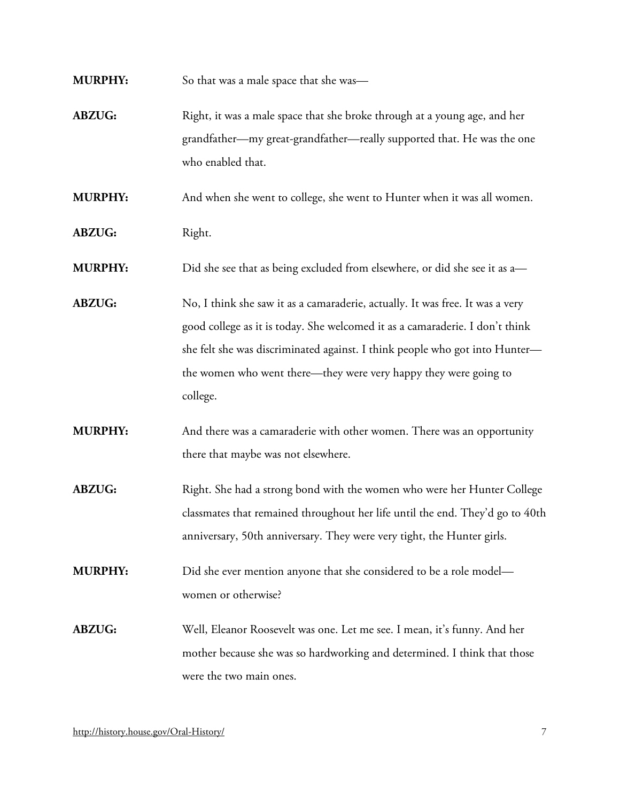**MURPHY:** So that was a male space that she was—

**ABZUG:** Right, it was a male space that she broke through at a young age, and her grandfather—my great-grandfather—really supported that. He was the one who enabled that.

**MURPHY:** And when she went to college, she went to Hunter when it was all women.

ABZUG: Right.

**MURPHY:** Did she see that as being excluded from elsewhere, or did she see it as a—

- **ABZUG:** No, I think she saw it as a camaraderie, actually. It was free. It was a very good college as it is today. She welcomed it as a camaraderie. I don't think she felt she was discriminated against. I think people who got into Hunter the women who went there—they were very happy they were going to college.
- **MURPHY:** And there was a camaraderie with other women. There was an opportunity there that maybe was not elsewhere.
- ABZUG: Right. She had a strong bond with the women who were her Hunter College classmates that remained throughout her life until the end. They'd go to 40th anniversary, 50th anniversary. They were very tight, the Hunter girls.

**MURPHY:** Did she ever mention anyone that she considered to be a role model women or otherwise?

**ABZUG:** Well, Eleanor Roosevelt was one. Let me see. I mean, it's funny. And her mother because she was so hardworking and determined. I think that those were the two main ones.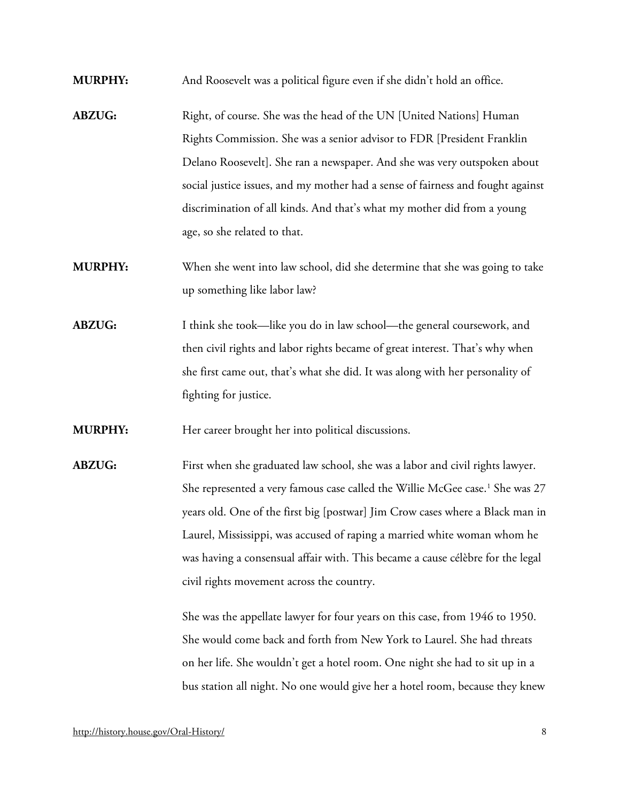- **MURPHY:** And Roosevelt was a political figure even if she didn't hold an office.
- **ABZUG:** Right, of course. She was the head of the UN [United Nations] Human Rights Commission. She was a senior advisor to FDR [President Franklin Delano Roosevelt]. She ran a newspaper. And she was very outspoken about social justice issues, and my mother had a sense of fairness and fought against discrimination of all kinds. And that's what my mother did from a young age, so she related to that.
- **MURPHY:** When she went into law school, did she determine that she was going to take up something like labor law?
- **ABZUG:** I think she took—like you do in law school—the general coursework, and then civil rights and labor rights became of great interest. That's why when she first came out, that's what she did. It was along with her personality of fighting for justice.

**MURPHY:** Her career brought her into political discussions.

**ABZUG:** First when she graduated law school, she was a labor and civil rights lawyer. She represented a very famous case called the Willie McGee case.<sup>[1](#page-66-0)</sup> She was 27 years old. One of the first big [postwar] Jim Crow cases where a Black man in Laurel, Mississippi, was accused of raping a married white woman whom he was having a consensual affair with. This became a cause célèbre for the legal civil rights movement across the country.

> She was the appellate lawyer for four years on this case, from 1946 to 1950. She would come back and forth from New York to Laurel. She had threats on her life. She wouldn't get a hotel room. One night she had to sit up in a bus station all night. No one would give her a hotel room, because they knew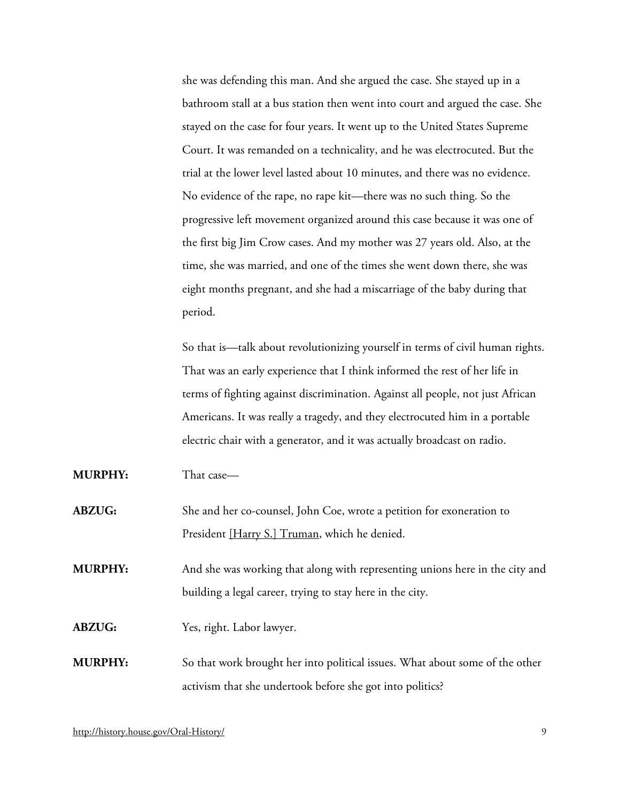she was defending this man. And she argued the case. She stayed up in a bathroom stall at a bus station then went into court and argued the case. She stayed on the case for four years. It went up to the United States Supreme Court. It was remanded on a technicality, and he was electrocuted. But the trial at the lower level lasted about 10 minutes, and there was no evidence. No evidence of the rape, no rape kit—there was no such thing. So the progressive left movement organized around this case because it was one of the first big Jim Crow cases. And my mother was 27 years old. Also, at the time, she was married, and one of the times she went down there, she was eight months pregnant, and she had a miscarriage of the baby during that period.

So that is—talk about revolutionizing yourself in terms of civil human rights. That was an early experience that I think informed the rest of her life in terms of fighting against discrimination. Against all people, not just African Americans. It was really a tragedy, and they electrocuted him in a portable electric chair with a generator, and it was actually broadcast on radio.

| <b>MURPHY:</b>   | That case—                                                                                                                                                                                                                                                                |
|------------------|---------------------------------------------------------------------------------------------------------------------------------------------------------------------------------------------------------------------------------------------------------------------------|
| <b>ABZUG:</b>    | She and her co-counsel, John Coe, wrote a petition for exoneration to<br>President [Harry S.] Truman, which he denied.                                                                                                                                                    |
| <b>MURPHY:</b>   | And she was working that along with representing unions here in the city and<br>building a legal career, trying to stay here in the city.                                                                                                                                 |
| <b>ABZUG:</b>    | Yes, right. Labor lawyer.                                                                                                                                                                                                                                                 |
| 1 <i>i</i> Thain | $C_{\rm{c}}$ and $C_{\rm{c}}$ and $C_{\rm{c}}$ and $C_{\rm{c}}$ are the set of $C_{\rm{c}}$ and $C_{\rm{c}}$ and $C_{\rm{c}}$ and $C_{\rm{c}}$ and $C_{\rm{c}}$ and $C_{\rm{c}}$ and $C_{\rm{c}}$ and $C_{\rm{c}}$ and $C_{\rm{c}}$ and $C_{\rm{c}}$ and $C_{\rm{c}}$ and |

**MURPHY:** So that work brought her into political issues. What about some of the other activism that she undertook before she got into politics?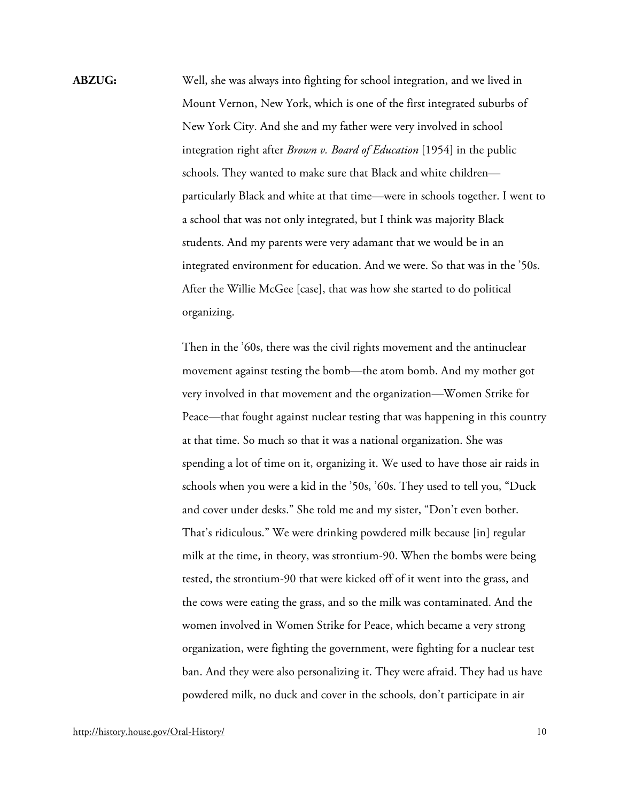**ABZUG:** Well, she was always into fighting for school integration, and we lived in Mount Vernon, New York, which is one of the first integrated suburbs of New York City. And she and my father were very involved in school integration right after *Brown v. Board of Education* [1954] in the public schools. They wanted to make sure that Black and white children particularly Black and white at that time—were in schools together. I went to a school that was not only integrated, but I think was majority Black students. And my parents were very adamant that we would be in an integrated environment for education. And we were. So that was in the '50s. After the Willie McGee [case], that was how she started to do political organizing.

> Then in the '60s, there was the civil rights movement and the antinuclear movement against testing the bomb—the atom bomb. And my mother got very involved in that movement and the organization—Women Strike for Peace—that fought against nuclear testing that was happening in this country at that time. So much so that it was a national organization. She was spending a lot of time on it, organizing it. We used to have those air raids in schools when you were a kid in the '50s, '60s. They used to tell you, "Duck and cover under desks." She told me and my sister, "Don't even bother. That's ridiculous." We were drinking powdered milk because [in] regular milk at the time, in theory, was strontium-90. When the bombs were being tested, the strontium-90 that were kicked off of it went into the grass, and the cows were eating the grass, and so the milk was contaminated. And the women involved in Women Strike for Peace, which became a very strong organization, were fighting the government, were fighting for a nuclear test ban. And they were also personalizing it. They were afraid. They had us have powdered milk, no duck and cover in the schools, don't participate in air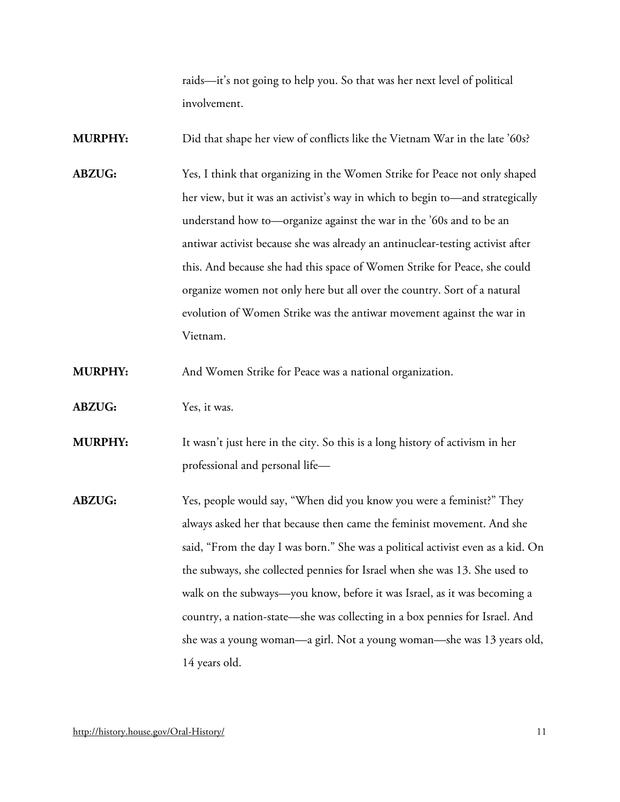raids—it's not going to help you. So that was her next level of political involvement.

**MURPHY:** Did that shape her view of conflicts like the Vietnam War in the late '60s?

**ABZUG:** Yes, I think that organizing in the Women Strike for Peace not only shaped her view, but it was an activist's way in which to begin to—and strategically understand how to—organize against the war in the '60s and to be an antiwar activist because she was already an antinuclear-testing activist after this. And because she had this space of Women Strike for Peace, she could organize women not only here but all over the country. Sort of a natural evolution of Women Strike was the antiwar movement against the war in Vietnam.

**MURPHY:** And Women Strike for Peace was a national organization.

- **ABZUG:** Yes, it was.
- **MURPHY:** It wasn't just here in the city. So this is a long history of activism in her professional and personal life—
- **ABZUG:** Yes, people would say, "When did you know you were a feminist?" They always asked her that because then came the feminist movement. And she said, "From the day I was born." She was a political activist even as a kid. On the subways, she collected pennies for Israel when she was 13. She used to walk on the subways—you know, before it was Israel, as it was becoming a country, a nation-state—she was collecting in a box pennies for Israel. And she was a young woman—a girl. Not a young woman—she was 13 years old, 14 years old.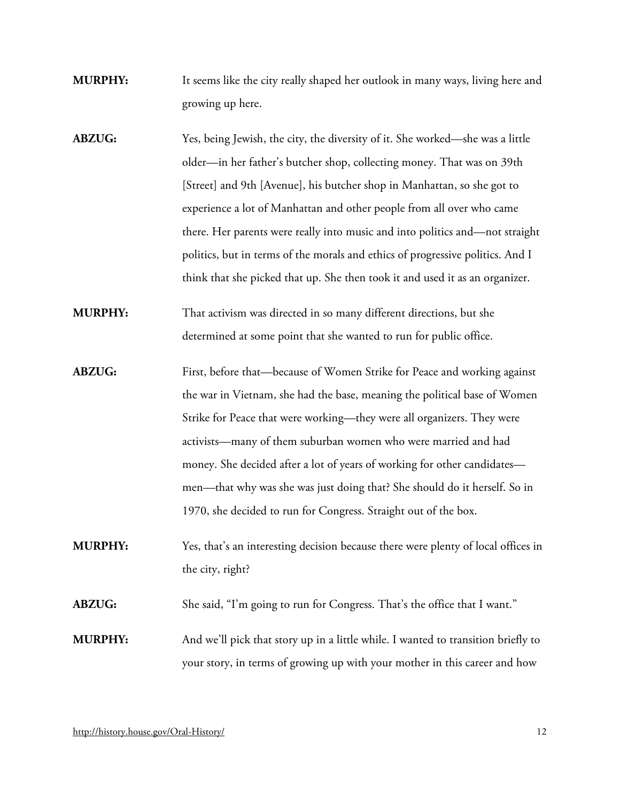- **MURPHY:** It seems like the city really shaped her outlook in many ways, living here and growing up here.
- **ABZUG:** Yes, being Jewish, the city, the diversity of it. She worked—she was a little older—in her father's butcher shop, collecting money. That was on 39th [Street] and 9th [Avenue], his butcher shop in Manhattan, so she got to experience a lot of Manhattan and other people from all over who came there. Her parents were really into music and into politics and—not straight politics, but in terms of the morals and ethics of progressive politics. And I think that she picked that up. She then took it and used it as an organizer.
- **MURPHY:** That activism was directed in so many different directions, but she determined at some point that she wanted to run for public office.
- **ABZUG:** First, before that—because of Women Strike for Peace and working against the war in Vietnam, she had the base, meaning the political base of Women Strike for Peace that were working—they were all organizers. They were activists—many of them suburban women who were married and had money. She decided after a lot of years of working for other candidates men—that why was she was just doing that? She should do it herself. So in 1970, she decided to run for Congress. Straight out of the box.
- **MURPHY:** Yes, that's an interesting decision because there were plenty of local offices in the city, right?
- **ABZUG:** She said, "I'm going to run for Congress. That's the office that I want."
- **MURPHY:** And we'll pick that story up in a little while. I wanted to transition briefly to your story, in terms of growing up with your mother in this career and how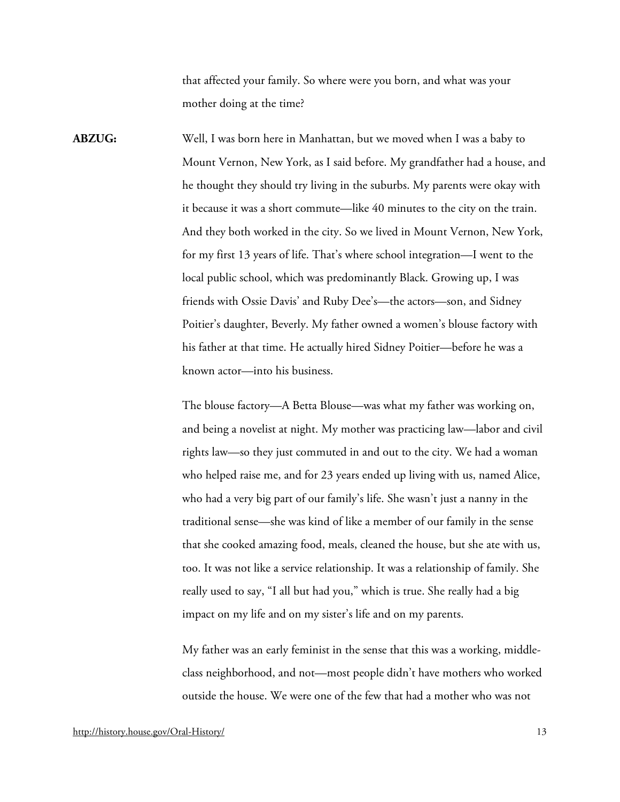that affected your family. So where were you born, and what was your mother doing at the time?

**ABZUG:** Well, I was born here in Manhattan, but we moved when I was a baby to Mount Vernon, New York, as I said before. My grandfather had a house, and he thought they should try living in the suburbs. My parents were okay with it because it was a short commute—like 40 minutes to the city on the train. And they both worked in the city. So we lived in Mount Vernon, New York, for my first 13 years of life. That's where school integration—I went to the local public school, which was predominantly Black. Growing up, I was friends with Ossie Davis' and Ruby Dee's—the actors—son, and Sidney Poitier's daughter, Beverly. My father owned a women's blouse factory with his father at that time. He actually hired Sidney Poitier—before he was a known actor—into his business.

> The blouse factory—A Betta Blouse—was what my father was working on, and being a novelist at night. My mother was practicing law—labor and civil rights law—so they just commuted in and out to the city. We had a woman who helped raise me, and for 23 years ended up living with us, named Alice, who had a very big part of our family's life. She wasn't just a nanny in the traditional sense—she was kind of like a member of our family in the sense that she cooked amazing food, meals, cleaned the house, but she ate with us, too. It was not like a service relationship. It was a relationship of family. She really used to say, "I all but had you," which is true. She really had a big impact on my life and on my sister's life and on my parents.

> My father was an early feminist in the sense that this was a working, middleclass neighborhood, and not—most people didn't have mothers who worked outside the house. We were one of the few that had a mother who was not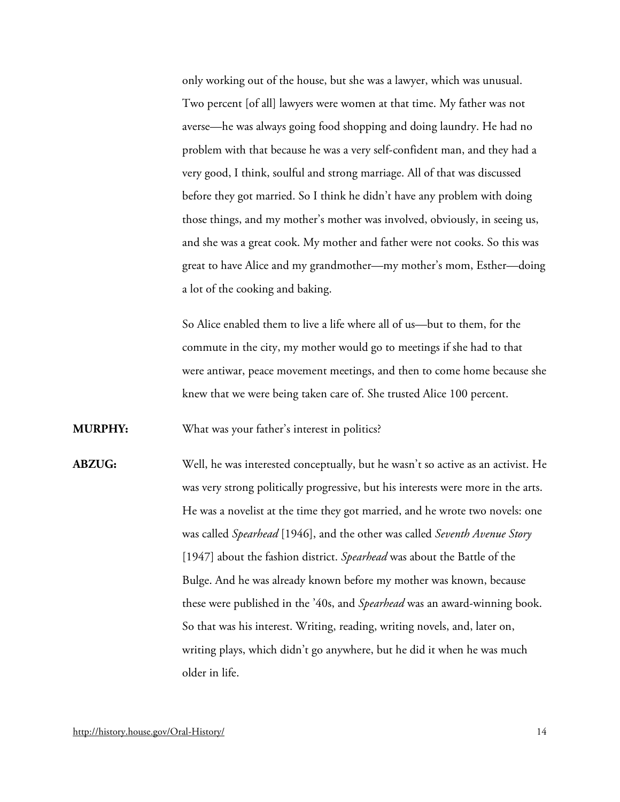only working out of the house, but she was a lawyer, which was unusual. Two percent [of all] lawyers were women at that time. My father was not averse—he was always going food shopping and doing laundry. He had no problem with that because he was a very self-confident man, and they had a very good, I think, soulful and strong marriage. All of that was discussed before they got married. So I think he didn't have any problem with doing those things, and my mother's mother was involved, obviously, in seeing us, and she was a great cook. My mother and father were not cooks. So this was great to have Alice and my grandmother—my mother's mom, Esther—doing a lot of the cooking and baking.

So Alice enabled them to live a life where all of us—but to them, for the commute in the city, my mother would go to meetings if she had to that were antiwar, peace movement meetings, and then to come home because she knew that we were being taken care of. She trusted Alice 100 percent.

**MURPHY:** What was your father's interest in politics?

**ABZUG:** Well, he was interested conceptually, but he wasn't so active as an activist. He was very strong politically progressive, but his interests were more in the arts. He was a novelist at the time they got married, and he wrote two novels: one was called *Spearhead* [1946], and the other was called *Seventh Avenue Story* [1947] about the fashion district. *Spearhead* was about the Battle of the Bulge. And he was already known before my mother was known, because these were published in the '40s, and *Spearhead* was an award-winning book. So that was his interest. Writing, reading, writing novels, and, later on, writing plays, which didn't go anywhere, but he did it when he was much older in life.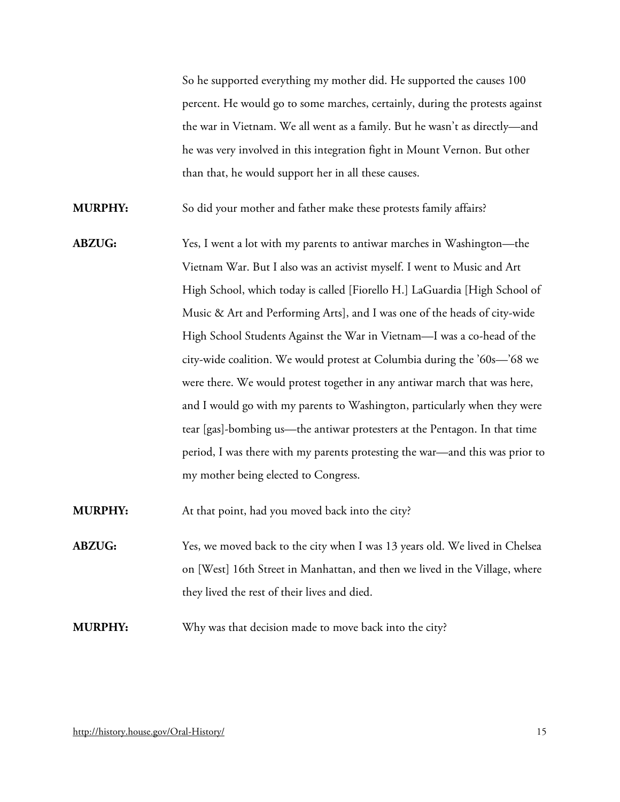So he supported everything my mother did. He supported the causes 100 percent. He would go to some marches, certainly, during the protests against the war in Vietnam. We all went as a family. But he wasn't as directly—and he was very involved in this integration fight in Mount Vernon. But other than that, he would support her in all these causes.

**MURPHY:** So did your mother and father make these protests family affairs?

**ABZUG:** Yes, I went a lot with my parents to antiwar marches in Washington—the Vietnam War. But I also was an activist myself. I went to Music and Art High School, which today is called [Fiorello H.] LaGuardia [High School of Music & Art and Performing Arts], and I was one of the heads of city-wide High School Students Against the War in Vietnam—I was a co-head of the city-wide coalition. We would protest at Columbia during the '60s—'68 we were there. We would protest together in any antiwar march that was here, and I would go with my parents to Washington, particularly when they were tear [gas]-bombing us—the antiwar protesters at the Pentagon. In that time period, I was there with my parents protesting the war—and this was prior to my mother being elected to Congress.

**MURPHY:** At that point, had you moved back into the city?

**ABZUG:** Yes, we moved back to the city when I was 13 years old. We lived in Chelsea on [West] 16th Street in Manhattan, and then we lived in the Village, where they lived the rest of their lives and died.

**MURPHY:** Why was that decision made to move back into the city?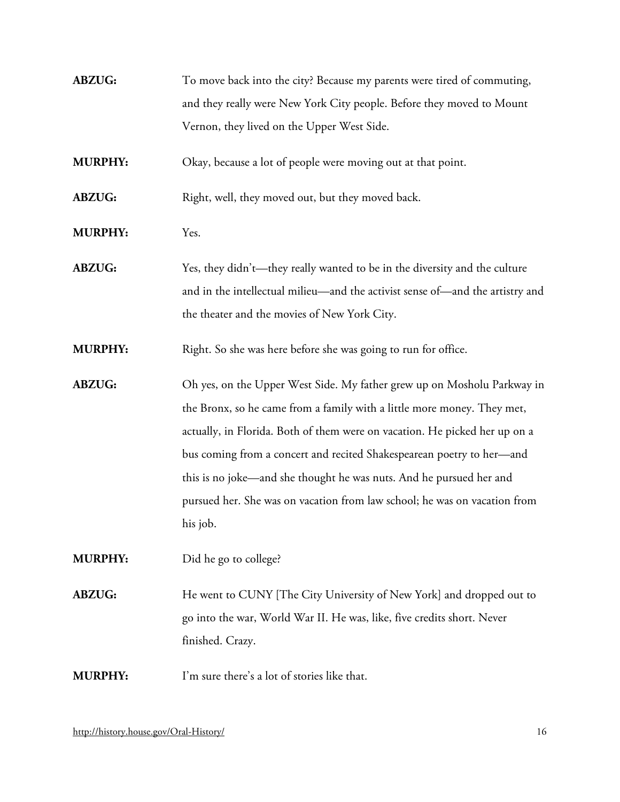| <b>ABZUG:</b> | To move back into the city? Because my parents were tired of commuting, |
|---------------|-------------------------------------------------------------------------|
|               | and they really were New York City people. Before they moved to Mount   |
|               | Vernon, they lived on the Upper West Side.                              |

**MURPHY:** Okay, because a lot of people were moving out at that point.

**ABZUG:** Right, well, they moved out, but they moved back.

**MURPHY:** Yes.

**ABZUG:** Yes, they didn't—they really wanted to be in the diversity and the culture and in the intellectual milieu—and the activist sense of—and the artistry and the theater and the movies of New York City.

**MURPHY:** Right. So she was here before she was going to run for office.

**ABZUG:** Oh yes, on the Upper West Side. My father grew up on Mosholu Parkway in the Bronx, so he came from a family with a little more money. They met, actually, in Florida. Both of them were on vacation. He picked her up on a bus coming from a concert and recited Shakespearean poetry to her—and this is no joke—and she thought he was nuts. And he pursued her and pursued her. She was on vacation from law school; he was on vacation from his job.

**MURPHY:** Did he go to college?

**ABZUG:** He went to CUNY [The City University of New York] and dropped out to go into the war, World War II. He was, like, five credits short. Never finished. Crazy.

**MURPHY:** I'm sure there's a lot of stories like that.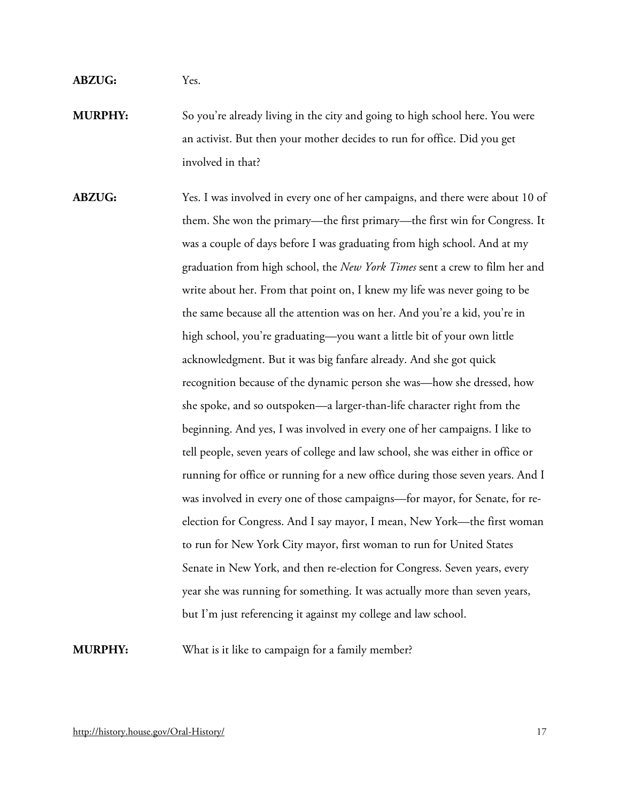#### **ABZUG:** Yes.

**MURPHY:** So you're already living in the city and going to high school here. You were an activist. But then your mother decides to run for office. Did you get involved in that?

**ABZUG:** Yes. I was involved in every one of her campaigns, and there were about 10 of them. She won the primary—the first primary—the first win for Congress. It was a couple of days before I was graduating from high school. And at my graduation from high school, the *New York Times* sent a crew to film her and write about her. From that point on, I knew my life was never going to be the same because all the attention was on her. And you're a kid, you're in high school, you're graduating—you want a little bit of your own little acknowledgment. But it was big fanfare already. And she got quick recognition because of the dynamic person she was—how she dressed, how she spoke, and so outspoken—a larger-than-life character right from the beginning. And yes, I was involved in every one of her campaigns. I like to tell people, seven years of college and law school, she was either in office or running for office or running for a new office during those seven years. And I was involved in every one of those campaigns—for mayor, for Senate, for reelection for Congress. And I say mayor, I mean, New York—the first woman to run for New York City mayor, first woman to run for United States Senate in New York, and then re-election for Congress. Seven years, every year she was running for something. It was actually more than seven years, but I'm just referencing it against my college and law school.

**MURPHY:** What is it like to campaign for a family member?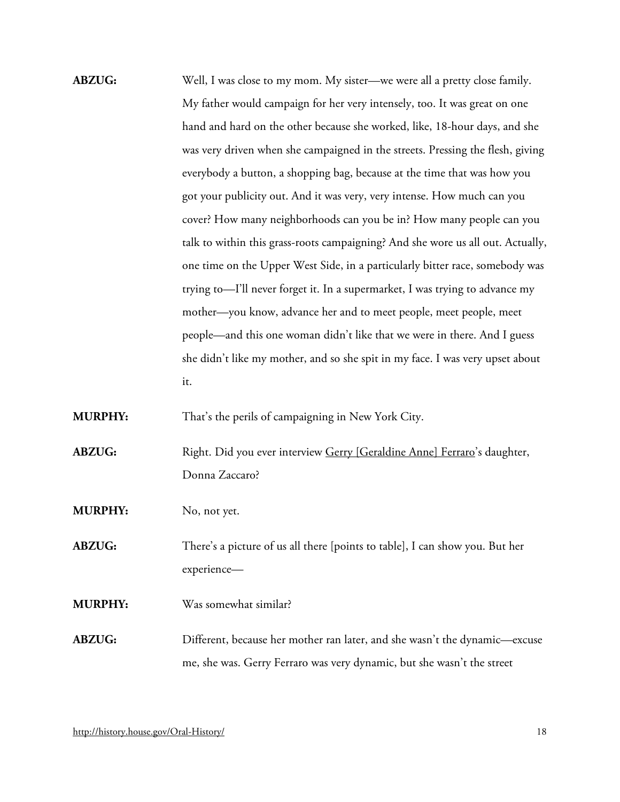**ABZUG:** Well, I was close to my mom. My sister—we were all a pretty close family. My father would campaign for her very intensely, too. It was great on one hand and hard on the other because she worked, like, 18-hour days, and she was very driven when she campaigned in the streets. Pressing the flesh, giving everybody a button, a shopping bag, because at the time that was how you got your publicity out. And it was very, very intense. How much can you cover? How many neighborhoods can you be in? How many people can you talk to within this grass-roots campaigning? And she wore us all out. Actually, one time on the Upper West Side, in a particularly bitter race, somebody was trying to—I'll never forget it. In a supermarket, I was trying to advance my mother—you know, advance her and to meet people, meet people, meet people—and this one woman didn't like that we were in there. And I guess she didn't like my mother, and so she spit in my face. I was very upset about it.

**MURPHY:** That's the perils of campaigning in New York City.

- ABZUG: Right. Did you ever interview [Gerry \[Geraldine Anne\] Ferraro'](http://bioguide.congress.gov/scripts/biodisplay.pl?index=F000088)s daughter, Donna Zaccaro?
- **MURPHY:** No, not yet.

**ABZUG:** There's a picture of us all there [points to table], I can show you. But her experience—

**MURPHY:** Was somewhat similar?

**ABZUG:** Different, because her mother ran later, and she wasn't the dynamic—excuse me, she was. Gerry Ferraro was very dynamic, but she wasn't the street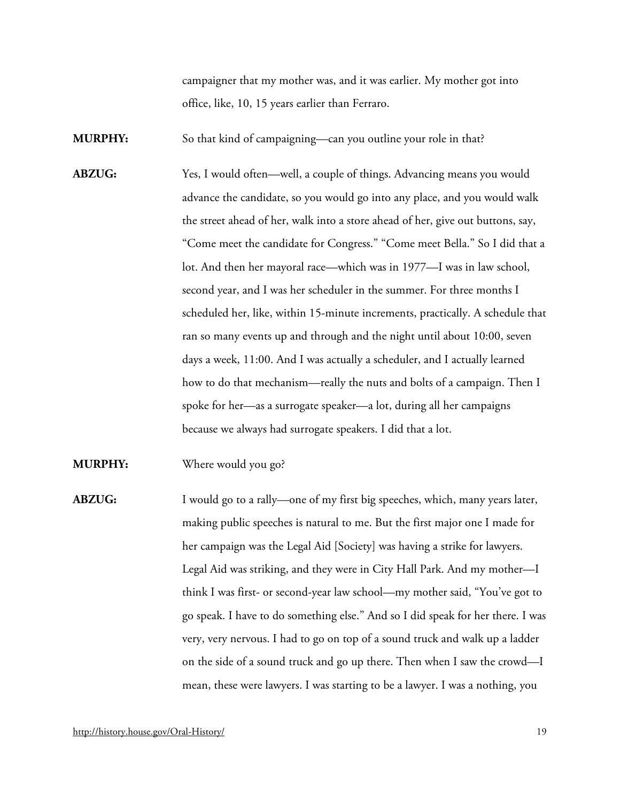campaigner that my mother was, and it was earlier. My mother got into office, like, 10, 15 years earlier than Ferraro.

**MURPHY:** So that kind of campaigning—can you outline your role in that?

- **ABZUG:** Yes, I would often—well, a couple of things. Advancing means you would advance the candidate, so you would go into any place, and you would walk the street ahead of her, walk into a store ahead of her, give out buttons, say, "Come meet the candidate for Congress." "Come meet Bella." So I did that a lot. And then her mayoral race—which was in 1977—I was in law school, second year, and I was her scheduler in the summer. For three months I scheduled her, like, within 15-minute increments, practically. A schedule that ran so many events up and through and the night until about 10:00, seven days a week, 11:00. And I was actually a scheduler, and I actually learned how to do that mechanism—really the nuts and bolts of a campaign. Then I spoke for her—as a surrogate speaker—a lot, during all her campaigns because we always had surrogate speakers. I did that a lot.
- **MURPHY:** Where would you go?
- **ABZUG:** I would go to a rally—one of my first big speeches, which, many years later, making public speeches is natural to me. But the first major one I made for her campaign was the Legal Aid [Society] was having a strike for lawyers. Legal Aid was striking, and they were in City Hall Park. And my mother—I think I was first- or second-year law school—my mother said, "You've got to go speak. I have to do something else." And so I did speak for her there. I was very, very nervous. I had to go on top of a sound truck and walk up a ladder on the side of a sound truck and go up there. Then when I saw the crowd—I mean, these were lawyers. I was starting to be a lawyer. I was a nothing, you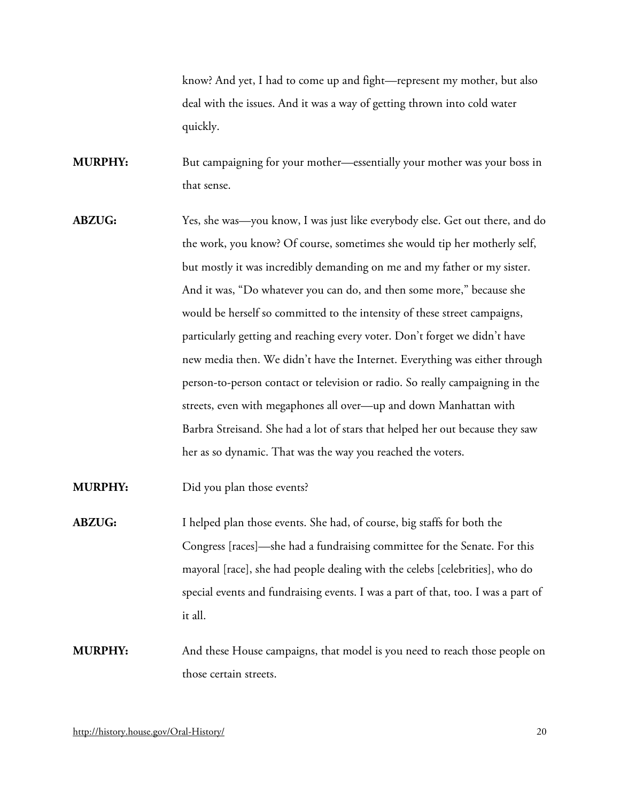know? And yet, I had to come up and fight—represent my mother, but also deal with the issues. And it was a way of getting thrown into cold water quickly.

**MURPHY:** But campaigning for your mother—essentially your mother was your boss in that sense.

**ABZUG:** Yes, she was—you know, I was just like everybody else. Get out there, and do the work, you know? Of course, sometimes she would tip her motherly self, but mostly it was incredibly demanding on me and my father or my sister. And it was, "Do whatever you can do, and then some more," because she would be herself so committed to the intensity of these street campaigns, particularly getting and reaching every voter. Don't forget we didn't have new media then. We didn't have the Internet. Everything was either through person-to-person contact or television or radio. So really campaigning in the streets, even with megaphones all over—up and down Manhattan with Barbra Streisand. She had a lot of stars that helped her out because they saw her as so dynamic. That was the way you reached the voters.

**MURPHY:** Did you plan those events?

- **ABZUG:** I helped plan those events. She had, of course, big staffs for both the Congress [races]—she had a fundraising committee for the Senate. For this mayoral [race], she had people dealing with the celebs [celebrities], who do special events and fundraising events. I was a part of that, too. I was a part of it all.
- **MURPHY:** And these House campaigns, that model is you need to reach those people on those certain streets.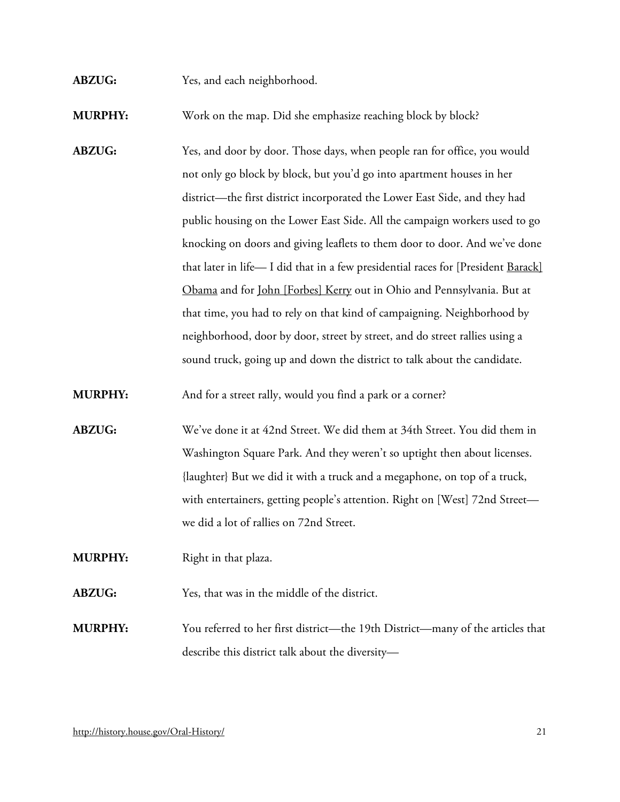**ABZUG:** Yes, and each neighborhood.

**MURPHY:** Work on the map. Did she emphasize reaching block by block?

ABZUG: Yes, and door by door. Those days, when people ran for office, you would not only go block by block, but you'd go into apartment houses in her district—the first district incorporated the Lower East Side, and they had public housing on the Lower East Side. All the campaign workers used to go knocking on doors and giving leaflets to them door to door. And we've done that later in life- I did that in a few presidential races for [President Barack] [Obama](https://bioguide.congress.gov/search/bio/O000167) and for [John \[Forbes\] Kerry](http://bioguide.congress.gov/scripts/biodisplay.pl?index=K000148) out in Ohio and Pennsylvania. But at that time, you had to rely on that kind of campaigning. Neighborhood by neighborhood, door by door, street by street, and do street rallies using a sound truck, going up and down the district to talk about the candidate.

**MURPHY:** And for a street rally, would you find a park or a corner?

**ABZUG:** We've done it at 42nd Street. We did them at 34th Street. You did them in Washington Square Park. And they weren't so uptight then about licenses. {laughter} But we did it with a truck and a megaphone, on top of a truck, with entertainers, getting people's attention. Right on [West] 72nd Street we did a lot of rallies on 72nd Street.

**MURPHY:** Right in that plaza.

**ABZUG:** Yes, that was in the middle of the district.

**MURPHY:** You referred to her first district—the 19th District—many of the articles that describe this district talk about the diversity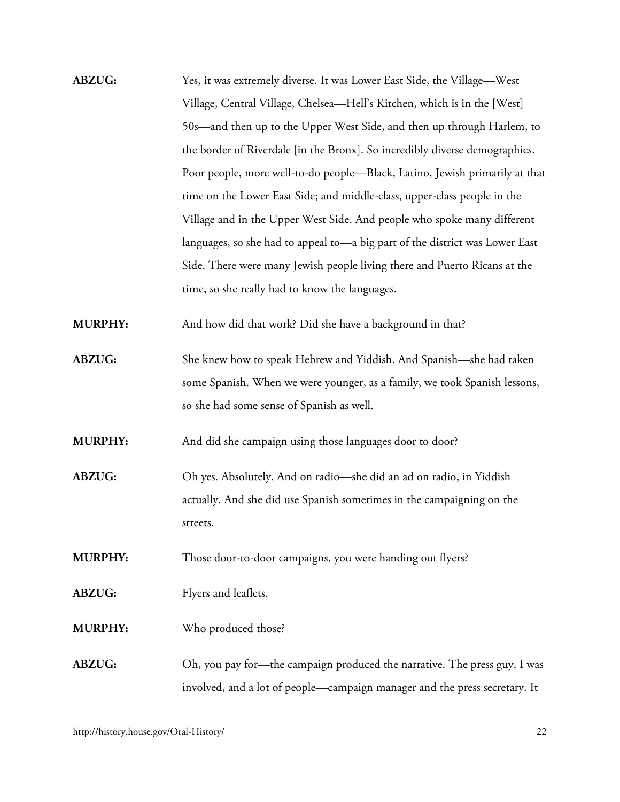**ABZUG:** Yes, it was extremely diverse. It was Lower East Side, the Village—West Village, Central Village, Chelsea—Hell's Kitchen, which is in the [West] 50s—and then up to the Upper West Side, and then up through Harlem, to the border of Riverdale [in the Bronx]. So incredibly diverse demographics. Poor people, more well-to-do people—Black, Latino, Jewish primarily at that time on the Lower East Side; and middle-class, upper-class people in the Village and in the Upper West Side. And people who spoke many different languages, so she had to appeal to—a big part of the district was Lower East Side. There were many Jewish people living there and Puerto Ricans at the time, so she really had to know the languages.

**MURPHY:** And how did that work? Did she have a background in that?

**ABZUG:** She knew how to speak Hebrew and Yiddish. And Spanish—she had taken some Spanish. When we were younger, as a family, we took Spanish lessons, so she had some sense of Spanish as well.

**MURPHY:** And did she campaign using those languages door to door?

**ABZUG:** Oh yes. Absolutely. And on radio—she did an ad on radio, in Yiddish actually. And she did use Spanish sometimes in the campaigning on the streets.

**MURPHY:** Those door-to-door campaigns, you were handing out flyers?

- **ABZUG:** Flyers and leaflets.
- **MURPHY:** Who produced those?

# **ABZUG:** Oh, you pay for—the campaign produced the narrative. The press guy. I was involved, and a lot of people—campaign manager and the press secretary. It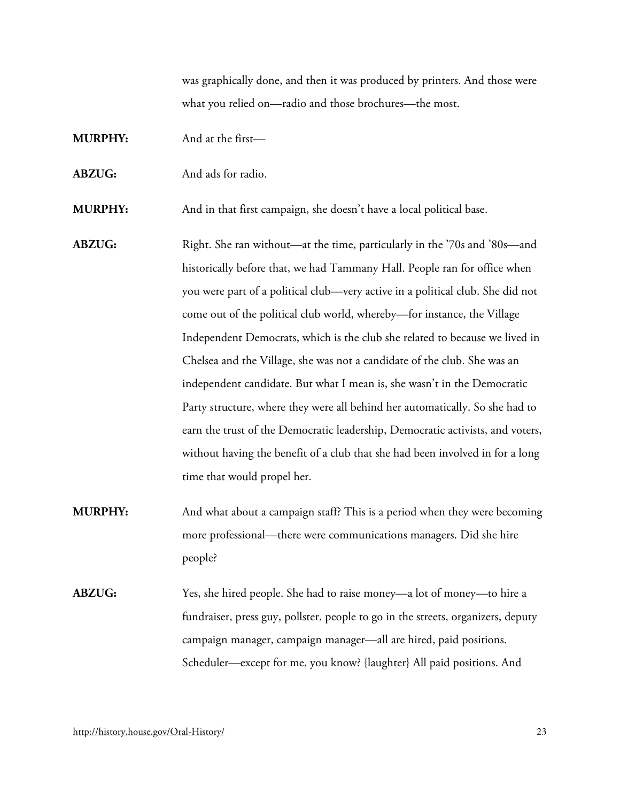was graphically done, and then it was produced by printers. And those were what you relied on—radio and those brochures—the most.

- **MURPHY:** And at the first—
- **ABZUG:** And ads for radio.

**MURPHY:** And in that first campaign, she doesn't have a local political base.

- **ABZUG:** Right. She ran without—at the time, particularly in the '70s and '80s—and historically before that, we had Tammany Hall. People ran for office when you were part of a political club—very active in a political club. She did not come out of the political club world, whereby—for instance, the Village Independent Democrats, which is the club she related to because we lived in Chelsea and the Village, she was not a candidate of the club. She was an independent candidate. But what I mean is, she wasn't in the Democratic Party structure, where they were all behind her automatically. So she had to earn the trust of the Democratic leadership, Democratic activists, and voters, without having the benefit of a club that she had been involved in for a long time that would propel her.
- **MURPHY:** And what about a campaign staff? This is a period when they were becoming more professional—there were communications managers. Did she hire people?
- **ABZUG:** Yes, she hired people. She had to raise money—a lot of money—to hire a fundraiser, press guy, pollster, people to go in the streets, organizers, deputy campaign manager, campaign manager—all are hired, paid positions. Scheduler—except for me, you know? {laughter} All paid positions. And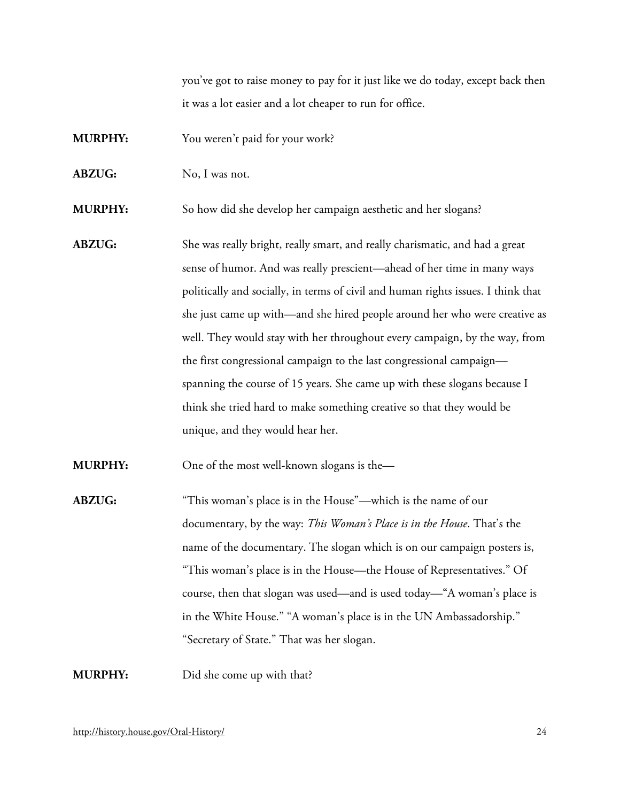you've got to raise money to pay for it just like we do today, except back then it was a lot easier and a lot cheaper to run for office.

- **MURPHY:** You weren't paid for your work?
- **ABZUG:** No, I was not.

**MURPHY:** So how did she develop her campaign aesthetic and her slogans?

**ABZUG:** She was really bright, really smart, and really charismatic, and had a great sense of humor. And was really prescient—ahead of her time in many ways politically and socially, in terms of civil and human rights issues. I think that she just came up with—and she hired people around her who were creative as well. They would stay with her throughout every campaign, by the way, from the first congressional campaign to the last congressional campaign spanning the course of 15 years. She came up with these slogans because I think she tried hard to make something creative so that they would be unique, and they would hear her.

**MURPHY:** One of the most well-known slogans is the—

**ABZUG:** "This woman's place is in the House"—which is the name of our documentary, by the way: *This Woman's Place is in the House*. That's the name of the documentary. The slogan which is on our campaign posters is, "This woman's place is in the House—the House of Representatives." Of course, then that slogan was used—and is used today—"A woman's place is in the White House." "A woman's place is in the UN Ambassadorship." "Secretary of State." That was her slogan.

**MURPHY:** Did she come up with that?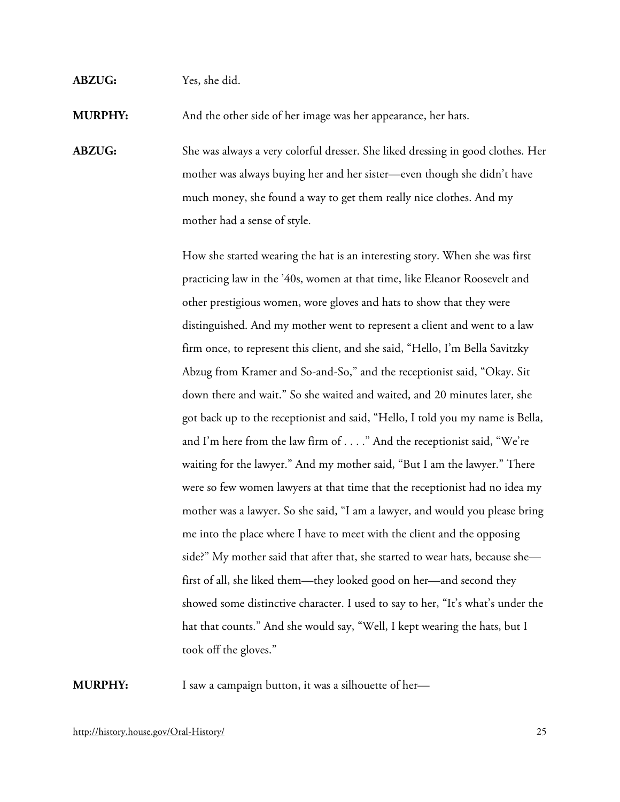#### **ABZUG:** Yes, she did.

**MURPHY:** And the other side of her image was her appearance, her hats.

**ABZUG:** She was always a very colorful dresser. She liked dressing in good clothes. Her mother was always buying her and her sister—even though she didn't have much money, she found a way to get them really nice clothes. And my mother had a sense of style.

> How she started wearing the hat is an interesting story. When she was first practicing law in the '40s, women at that time, like Eleanor Roosevelt and other prestigious women, wore gloves and hats to show that they were distinguished. And my mother went to represent a client and went to a law firm once, to represent this client, and she said, "Hello, I'm Bella Savitzky Abzug from Kramer and So-and-So," and the receptionist said, "Okay. Sit down there and wait." So she waited and waited, and 20 minutes later, she got back up to the receptionist and said, "Hello, I told you my name is Bella, and I'm here from the law firm of . . . ." And the receptionist said, "We're waiting for the lawyer." And my mother said, "But I am the lawyer." There were so few women lawyers at that time that the receptionist had no idea my mother was a lawyer. So she said, "I am a lawyer, and would you please bring me into the place where I have to meet with the client and the opposing side?" My mother said that after that, she started to wear hats, because she first of all, she liked them—they looked good on her—and second they showed some distinctive character. I used to say to her, "It's what's under the hat that counts." And she would say, "Well, I kept wearing the hats, but I took off the gloves."

**MURPHY:** I saw a campaign button, it was a silhouette of her—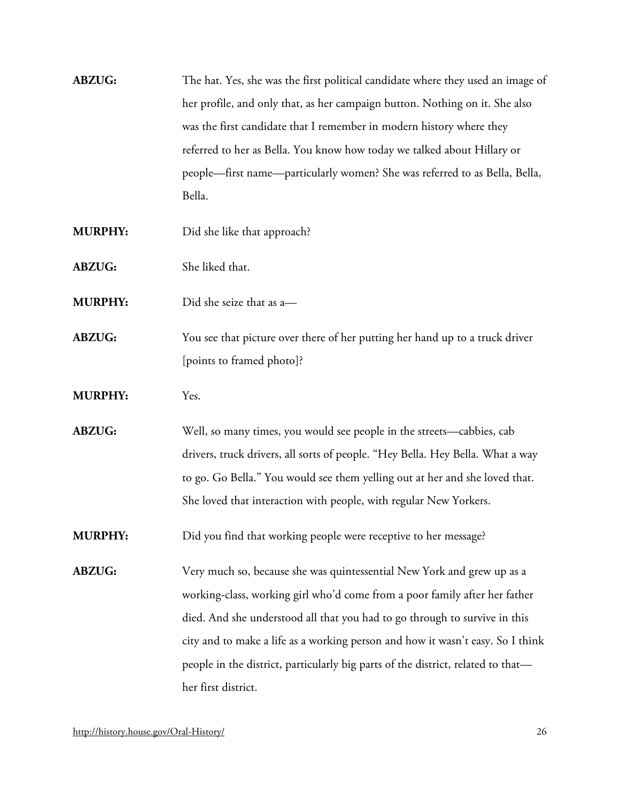- **ABZUG:** The hat. Yes, she was the first political candidate where they used an image of her profile, and only that, as her campaign button. Nothing on it. She also was the first candidate that I remember in modern history where they referred to her as Bella. You know how today we talked about Hillary or people—first name—particularly women? She was referred to as Bella, Bella, Bella.
- **MURPHY:** Did she like that approach?
- **ABZUG:** She liked that.
- **MURPHY:** Did she seize that as a—
- **ABZUG:** You see that picture over there of her putting her hand up to a truck driver [points to framed photo]?
- **MURPHY:** Yes.
- **ABZUG:** Well, so many times, you would see people in the streets—cabbies, cab drivers, truck drivers, all sorts of people. "Hey Bella. Hey Bella. What a way to go. Go Bella." You would see them yelling out at her and she loved that. She loved that interaction with people, with regular New Yorkers.
- **MURPHY:** Did you find that working people were receptive to her message?
- **ABZUG:** Very much so, because she was quintessential New York and grew up as a working-class, working girl who'd come from a poor family after her father died. And she understood all that you had to go through to survive in this city and to make a life as a working person and how it wasn't easy. So I think people in the district, particularly big parts of the district, related to that her first district.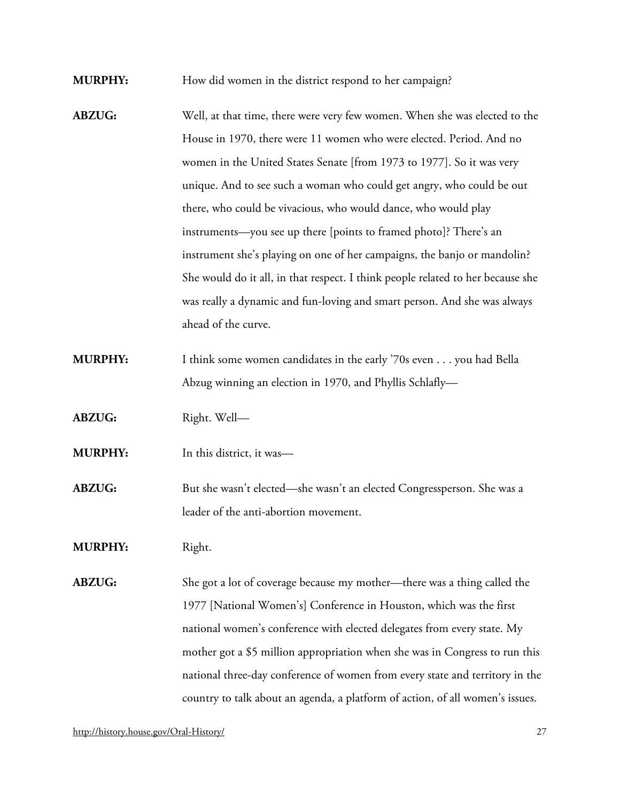**MURPHY:** How did women in the district respond to her campaign?

- **ABZUG:** Well, at that time, there were very few women. When she was elected to the House in 1970, there were 11 women who were elected. Period. And no women in the United States Senate [from 1973 to 1977]. So it was very unique. And to see such a woman who could get angry, who could be out there, who could be vivacious, who would dance, who would play instruments—you see up there [points to framed photo]? There's an instrument she's playing on one of her campaigns, the banjo or mandolin? She would do it all, in that respect. I think people related to her because she was really a dynamic and fun-loving and smart person. And she was always ahead of the curve.
- **MURPHY:** I think some women candidates in the early '70s even . . . you had Bella Abzug winning an election in 1970, and Phyllis Schlafly—
- **ABZUG:** Right. Well—
- **MURPHY:** In this district, it was—
- **ABZUG:** But she wasn't elected—she wasn't an elected Congressperson. She was a leader of the anti-abortion movement.
- **MURPHY:** Right.
- **ABZUG:** She got a lot of coverage because my mother—there was a thing called the 1977 [National Women's] Conference in Houston, which was the first national women's conference with elected delegates from every state. My mother got a \$5 million appropriation when she was in Congress to run this national three-day conference of women from every state and territory in the country to talk about an agenda, a platform of action, of all women's issues.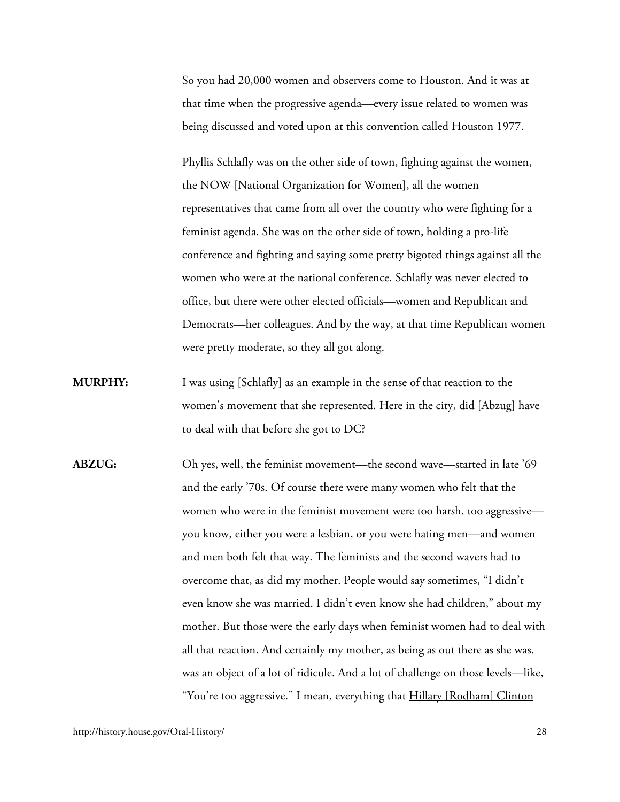So you had 20,000 women and observers come to Houston. And it was at that time when the progressive agenda—every issue related to women was being discussed and voted upon at this convention called Houston 1977.

Phyllis Schlafly was on the other side of town, fighting against the women, the NOW [National Organization for Women], all the women representatives that came from all over the country who were fighting for a feminist agenda. She was on the other side of town, holding a pro-life conference and fighting and saying some pretty bigoted things against all the women who were at the national conference. Schlafly was never elected to office, but there were other elected officials—women and Republican and Democrats—her colleagues. And by the way, at that time Republican women were pretty moderate, so they all got along.

- **MURPHY:** I was using [Schlafly] as an example in the sense of that reaction to the women's movement that she represented. Here in the city, did [Abzug] have to deal with that before she got to DC?
- **ABZUG:** Oh yes, well, the feminist movement—the second wave—started in late '69 and the early '70s. Of course there were many women who felt that the women who were in the feminist movement were too harsh, too aggressive you know, either you were a lesbian, or you were hating men—and women and men both felt that way. The feminists and the second wavers had to overcome that, as did my mother. People would say sometimes, "I didn't even know she was married. I didn't even know she had children," about my mother. But those were the early days when feminist women had to deal with all that reaction. And certainly my mother, as being as out there as she was, was an object of a lot of ridicule. And a lot of challenge on those levels—like, "You're too aggressive." I mean, everything that **Hillary [Rodham] Clinton**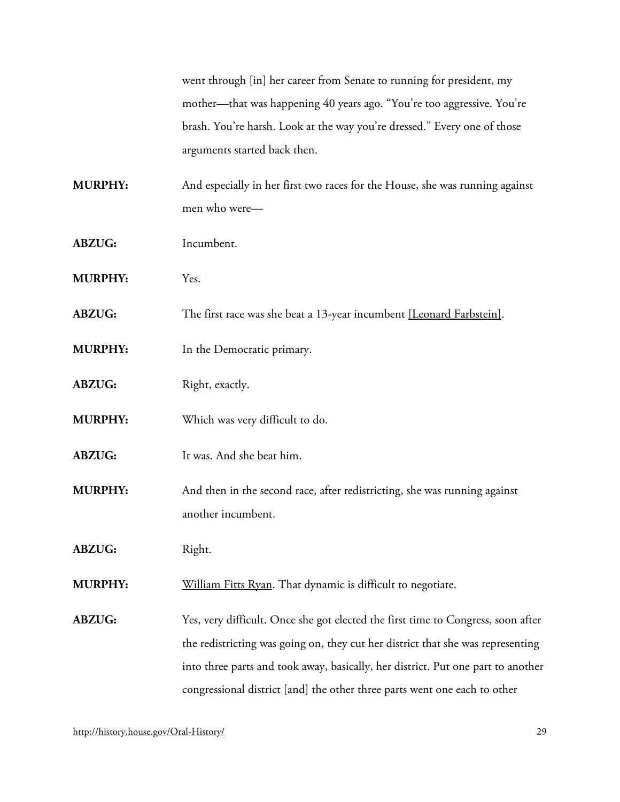went through [in] her career from Senate to running for president, my mother—that was happening 40 years ago. "You're too aggressive. You're brash. You're harsh. Look at the way you're dressed." Every one of those arguments started back then.

**MURPHY:** And especially in her first two races for the House, she was running against men who were—

- **ABZUG:** Incumbent.
- **MURPHY:** Yes.
- **ABZUG:** The first race was she beat a 13-year incumbent [\[Leonard Farbstein\].](http://bioguide.congress.gov/scripts/biodisplay.pl?index=F000015)
- **MURPHY:** In the Democratic primary.
- **ABZUG:** Right, exactly.
- **MURPHY:** Which was very difficult to do.
- **ABZUG:** It was. And she beat him.
- **MURPHY:** And then in the second race, after redistricting, she was running against another incumbent.
- **ABZUG:** Right.
- **MURPHY:** [William Fitts Ryan.](http://bioguide.congress.gov/scripts/biodisplay.pl?index=R000562) That dynamic is difficult to negotiate.

**ABZUG:** Yes, very difficult. Once she got elected the first time to Congress, soon after the redistricting was going on, they cut her district that she was representing into three parts and took away, basically, her district. Put one part to another congressional district [and] the other three parts went one each to other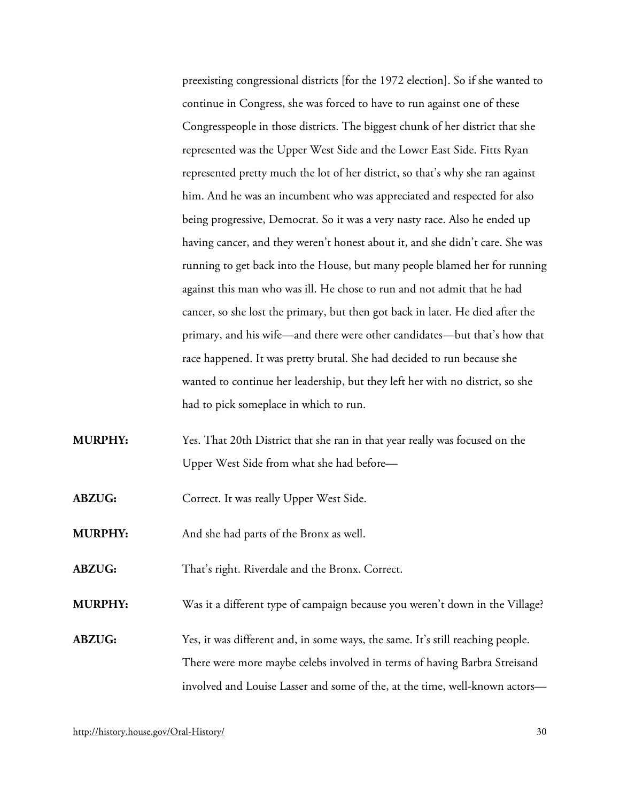preexisting congressional districts [for the 1972 election]. So if she wanted to continue in Congress, she was forced to have to run against one of these Congresspeople in those districts. The biggest chunk of her district that she represented was the Upper West Side and the Lower East Side. Fitts Ryan represented pretty much the lot of her district, so that's why she ran against him. And he was an incumbent who was appreciated and respected for also being progressive, Democrat. So it was a very nasty race. Also he ended up having cancer, and they weren't honest about it, and she didn't care. She was running to get back into the House, but many people blamed her for running against this man who was ill. He chose to run and not admit that he had cancer, so she lost the primary, but then got back in later. He died after the primary, and his wife—and there were other candidates—but that's how that race happened. It was pretty brutal. She had decided to run because she wanted to continue her leadership, but they left her with no district, so she had to pick someplace in which to run.

- **MURPHY:** Yes. That 20th District that she ran in that year really was focused on the Upper West Side from what she had before—
- ABZUG: Correct. It was really Upper West Side.
- **MURPHY:** And she had parts of the Bronx as well.
- **ABZUG:** That's right. Riverdale and the Bronx. Correct.

**MURPHY:** Was it a different type of campaign because you weren't down in the Village?

**ABZUG:** Yes, it was different and, in some ways, the same. It's still reaching people. There were more maybe celebs involved in terms of having Barbra Streisand involved and Louise Lasser and some of the, at the time, well-known actors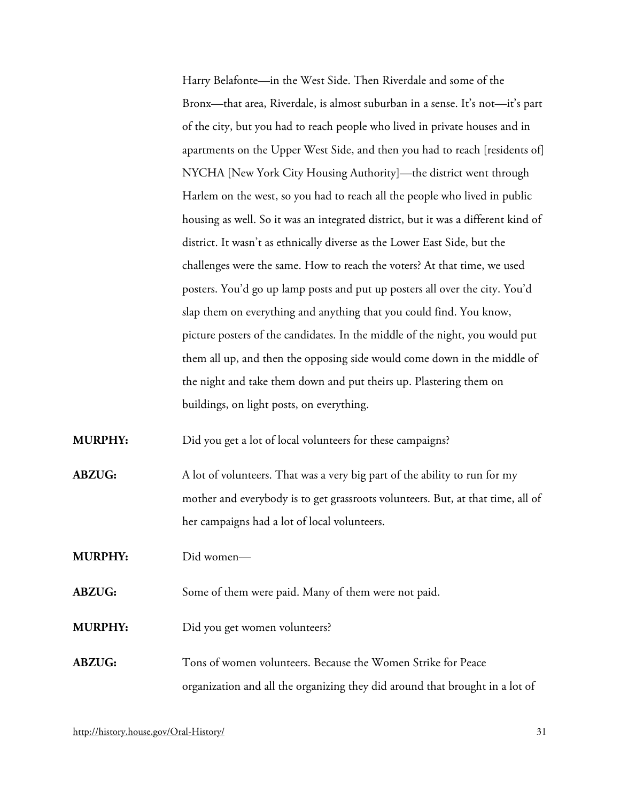Harry Belafonte—in the West Side. Then Riverdale and some of the Bronx—that area, Riverdale, is almost suburban in a sense. It's not—it's part of the city, but you had to reach people who lived in private houses and in apartments on the Upper West Side, and then you had to reach [residents of] NYCHA [New York City Housing Authority]—the district went through Harlem on the west, so you had to reach all the people who lived in public housing as well. So it was an integrated district, but it was a different kind of district. It wasn't as ethnically diverse as the Lower East Side, but the challenges were the same. How to reach the voters? At that time, we used posters. You'd go up lamp posts and put up posters all over the city. You'd slap them on everything and anything that you could find. You know, picture posters of the candidates. In the middle of the night, you would put them all up, and then the opposing side would come down in the middle of the night and take them down and put theirs up. Plastering them on buildings, on light posts, on everything.

**MURPHY:** Did you get a lot of local volunteers for these campaigns?

**ABZUG:** A lot of volunteers. That was a very big part of the ability to run for my mother and everybody is to get grassroots volunteers. But, at that time, all of her campaigns had a lot of local volunteers.

**MURPHY:** Did women—

**ABZUG:** Some of them were paid. Many of them were not paid.

**MURPHY:** Did you get women volunteers?

# **ABZUG:** Tons of women volunteers. Because the Women Strike for Peace organization and all the organizing they did around that brought in a lot of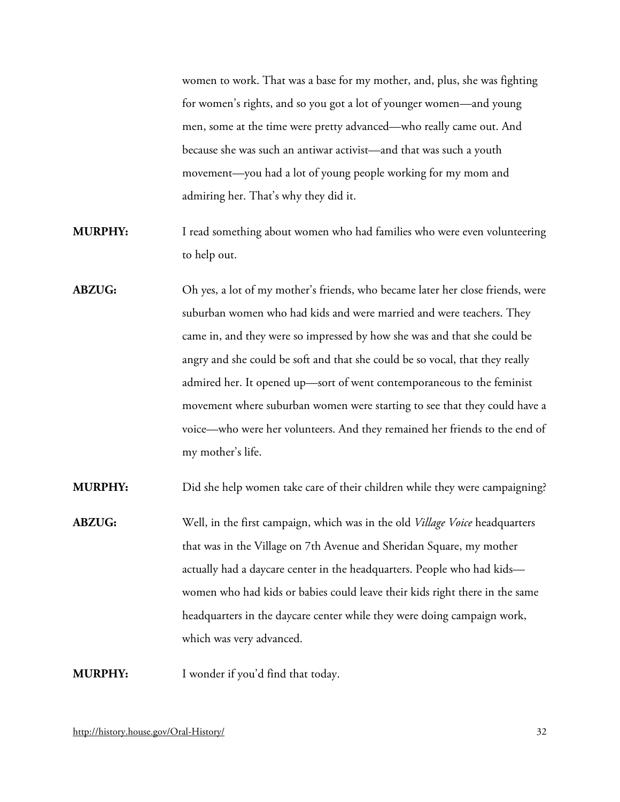women to work. That was a base for my mother, and, plus, she was fighting for women's rights, and so you got a lot of younger women—and young men, some at the time were pretty advanced—who really came out. And because she was such an antiwar activist—and that was such a youth movement—you had a lot of young people working for my mom and admiring her. That's why they did it.

- **MURPHY:** I read something about women who had families who were even volunteering to help out.
- **ABZUG:** Oh yes, a lot of my mother's friends, who became later her close friends, were suburban women who had kids and were married and were teachers. They came in, and they were so impressed by how she was and that she could be angry and she could be soft and that she could be so vocal, that they really admired her. It opened up—sort of went contemporaneous to the feminist movement where suburban women were starting to see that they could have a voice—who were her volunteers. And they remained her friends to the end of my mother's life.

**MURPHY:** Did she help women take care of their children while they were campaigning?

**ABZUG:** Well, in the first campaign, which was in the old *Village Voice* headquarters that was in the Village on 7th Avenue and Sheridan Square, my mother actually had a daycare center in the headquarters. People who had kids women who had kids or babies could leave their kids right there in the same headquarters in the daycare center while they were doing campaign work, which was very advanced.

**MURPHY:** I wonder if you'd find that today.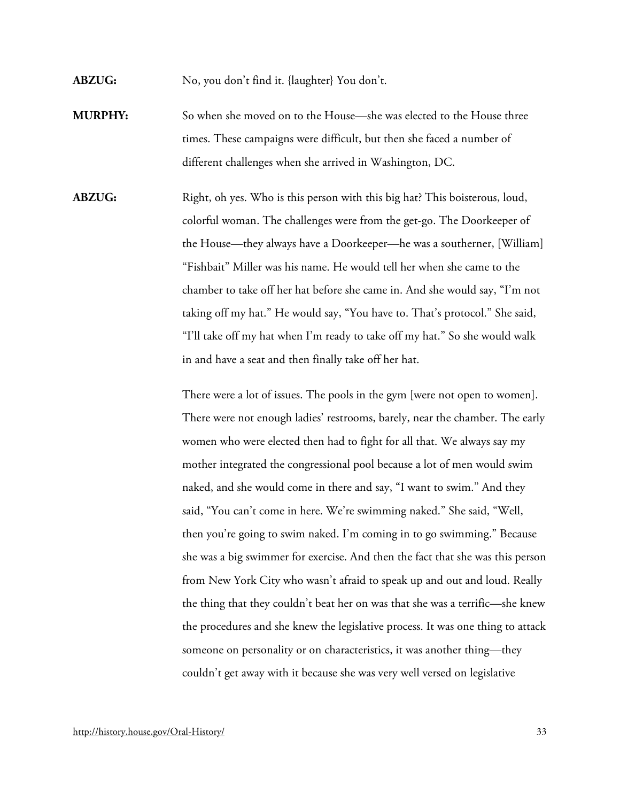**ABZUG:** No, you don't find it. {laughter} You don't.

- **MURPHY:** So when she moved on to the House—she was elected to the House three times. These campaigns were difficult, but then she faced a number of different challenges when she arrived in Washington, DC.
- **ABZUG:** Right, oh yes. Who is this person with this big hat? This boisterous, loud, colorful woman. The challenges were from the get-go. The Doorkeeper of the House—they always have a Doorkeeper—he was a southerner, [William] "Fishbait" Miller was his name. He would tell her when she came to the chamber to take off her hat before she came in. And she would say, "I'm not taking off my hat." He would say, "You have to. That's protocol." She said, "I'll take off my hat when I'm ready to take off my hat." So she would walk in and have a seat and then finally take off her hat.

There were a lot of issues. The pools in the gym [were not open to women]. There were not enough ladies' restrooms, barely, near the chamber. The early women who were elected then had to fight for all that. We always say my mother integrated the congressional pool because a lot of men would swim naked, and she would come in there and say, "I want to swim." And they said, "You can't come in here. We're swimming naked." She said, "Well, then you're going to swim naked. I'm coming in to go swimming." Because she was a big swimmer for exercise. And then the fact that she was this person from New York City who wasn't afraid to speak up and out and loud. Really the thing that they couldn't beat her on was that she was a terrific—she knew the procedures and she knew the legislative process. It was one thing to attack someone on personality or on characteristics, it was another thing—they couldn't get away with it because she was very well versed on legislative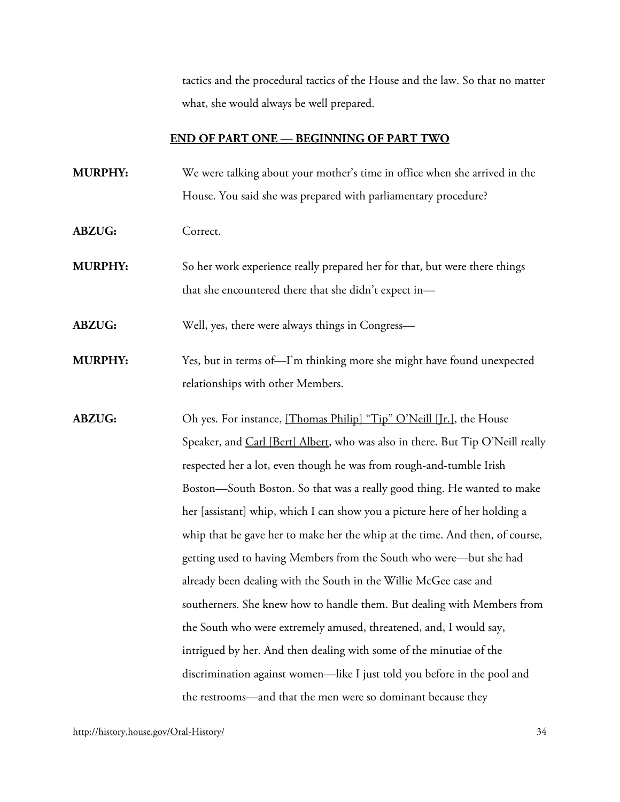tactics and the procedural tactics of the House and the law. So that no matter what, she would always be well prepared.

#### **END OF PART ONE — BEGINNING OF PART TWO**

- **MURPHY:** We were talking about your mother's time in office when she arrived in the House. You said she was prepared with parliamentary procedure?
- **ABZUG:** Correct.
- **MURPHY:** So her work experience really prepared her for that, but were there things that she encountered there that she didn't expect in—

**ABZUG:** Well, yes, there were always things in Congress—

- **MURPHY:** Yes, but in terms of—I'm thinking more she might have found unexpected relationships with other Members.
- **ABZUG:** Oh yes. For instance, [\[Thomas Philip\] "Tip" O'Neill \[Jr.\],](http://bioguide.congress.gov/scripts/biodisplay.pl?index=O000098) the House Speaker, and [Carl \[Bert\] Albert,](http://bioguide.congress.gov/scripts/biodisplay.pl?index=A000073) who was also in there. But Tip O'Neill really respected her a lot, even though he was from rough-and-tumble Irish Boston—South Boston. So that was a really good thing. He wanted to make her [assistant] whip, which I can show you a picture here of her holding a whip that he gave her to make her the whip at the time. And then, of course, getting used to having Members from the South who were—but she had already been dealing with the South in the Willie McGee case and southerners. She knew how to handle them. But dealing with Members from the South who were extremely amused, threatened, and, I would say, intrigued by her. And then dealing with some of the minutiae of the discrimination against women—like I just told you before in the pool and the restrooms—and that the men were so dominant because they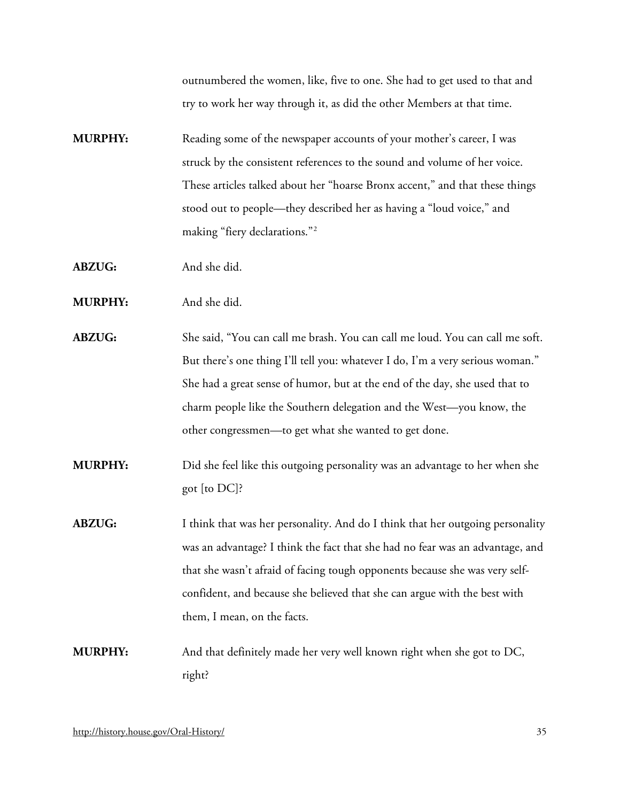outnumbered the women, like, five to one. She had to get used to that and try to work her way through it, as did the other Members at that time.

- **MURPHY:** Reading some of the newspaper accounts of your mother's career, I was struck by the consistent references to the sound and volume of her voice. These articles talked about her "hoarse Bronx accent," and that these things stood out to people—they described her as having a "loud voice," and making "fiery declarations."[2](#page-66-1)
- **ABZUG:** And she did.
- **MURPHY:** And she did.
- **ABZUG:** She said, "You can call me brash. You can call me loud. You can call me soft. But there's one thing I'll tell you: whatever I do, I'm a very serious woman." She had a great sense of humor, but at the end of the day, she used that to charm people like the Southern delegation and the West—you know, the other congressmen—to get what she wanted to get done.
- **MURPHY:** Did she feel like this outgoing personality was an advantage to her when she got [to DC]?
- **ABZUG:** I think that was her personality. And do I think that her outgoing personality was an advantage? I think the fact that she had no fear was an advantage, and that she wasn't afraid of facing tough opponents because she was very selfconfident, and because she believed that she can argue with the best with them, I mean, on the facts.
- **MURPHY:** And that definitely made her very well known right when she got to DC, right?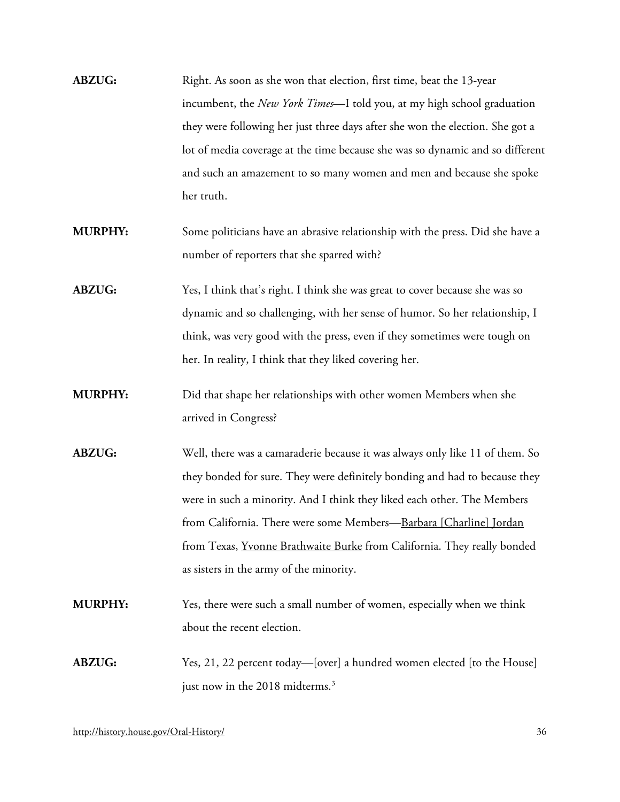| <b>ABZUG:</b> | Right. As soon as she won that election, first time, beat the 13-year         |
|---------------|-------------------------------------------------------------------------------|
|               | incumbent, the New York Times—I told you, at my high school graduation        |
|               | they were following her just three days after she won the election. She got a |
|               | lot of media coverage at the time because she was so dynamic and so different |
|               | and such an amazement to so many women and men and because she spoke          |
|               | her truth.                                                                    |

- **MURPHY:** Some politicians have an abrasive relationship with the press. Did she have a number of reporters that she sparred with?
- **ABZUG:** Yes, I think that's right. I think she was great to cover because she was so dynamic and so challenging, with her sense of humor. So her relationship, I think, was very good with the press, even if they sometimes were tough on her. In reality, I think that they liked covering her.
- **MURPHY:** Did that shape her relationships with other women Members when she arrived in Congress?
- **ABZUG:** Well, there was a camaraderie because it was always only like 11 of them. So they bonded for sure. They were definitely bonding and had to because they were in such a minority. And I think they liked each other. The Members from California. There were some Members[—Barbara \[Charline\] Jordan](http://bioguide.congress.gov/scripts/biodisplay.pl?index=J000266) from Texas, [Yvonne Brathwaite Burke](http://bioguide.congress.gov/scripts/biodisplay.pl?index=B001102) from California. They really bonded as sisters in the army of the minority.
- **MURPHY:** Yes, there were such a small number of women, especially when we think about the recent election.
- **ABZUG:** Yes, 21, 22 percent today—[over] a hundred women elected [to the House] just now in the 2018 midterms.<sup>[3](#page-66-2)</sup>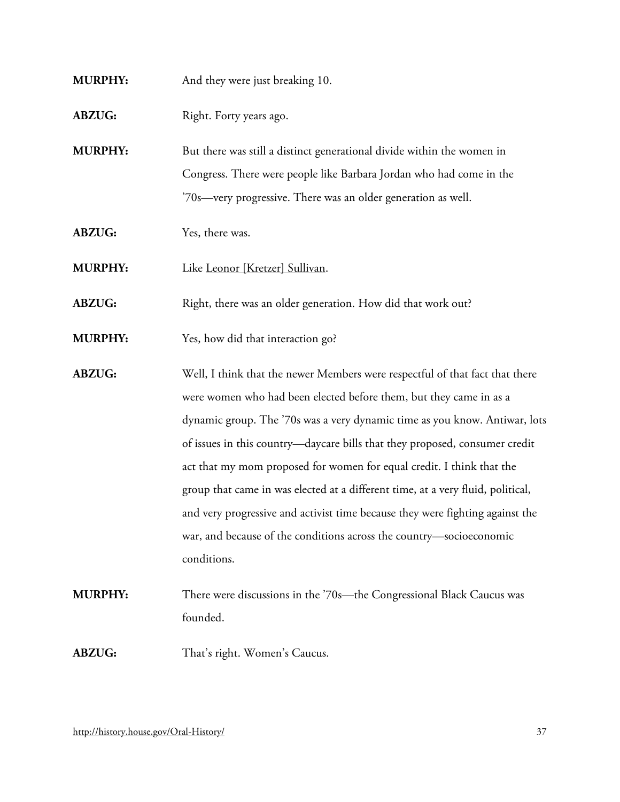- **MURPHY:** And they were just breaking 10.
- **ABZUG:** Right. Forty years ago.

**MURPHY:** But there was still a distinct generational divide within the women in Congress. There were people like Barbara Jordan who had come in the '70s—very progressive. There was an older generation as well.

- **ABZUG:** Yes, there was.
- **MURPHY:** Like [Leonor \[Kretzer\] Sullivan.](http://bioguide.congress.gov/scripts/biodisplay.pl?index=S001057)
- ABZUG: Right, there was an older generation. How did that work out?
- **MURPHY:** Yes, how did that interaction go?
- **ABZUG:** Well, I think that the newer Members were respectful of that fact that there were women who had been elected before them, but they came in as a dynamic group. The '70s was a very dynamic time as you know. Antiwar, lots of issues in this country—daycare bills that they proposed, consumer credit act that my mom proposed for women for equal credit. I think that the group that came in was elected at a different time, at a very fluid, political, and very progressive and activist time because they were fighting against the war, and because of the conditions across the country—socioeconomic conditions.
- **MURPHY:** There were discussions in the '70s—the Congressional Black Caucus was founded.
- **ABZUG:** That's right. Women's Caucus.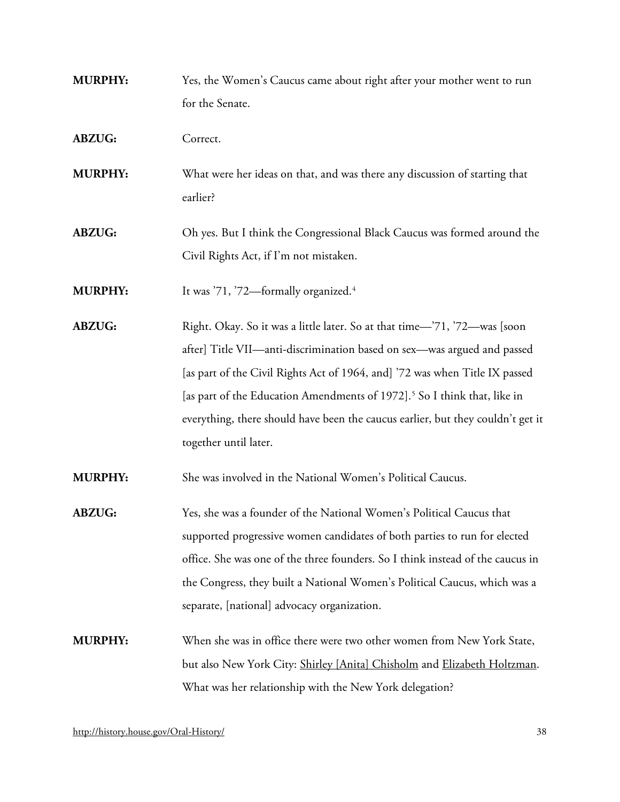- **MURPHY:** Yes, the Women's Caucus came about right after your mother went to run for the Senate.
- **ABZUG:** Correct.
- **MURPHY:** What were her ideas on that, and was there any discussion of starting that earlier?
- **ABZUG:** Oh yes. But I think the Congressional Black Caucus was formed around the Civil Rights Act, if I'm not mistaken.

**MURPHY:** It was '71, '72—formally organized.<sup>[4](#page-66-3)</sup>

**ABZUG:** Right. Okay. So it was a little later. So at that time—'71, '72—was [soon after] Title VII—anti-discrimination based on sex—was argued and passed [as part of the Civil Rights Act of 1964, and] '72 was when Title IX passed [as part of the Education Amendments of 1972].<sup>[5](#page-66-4)</sup> So I think that, like in everything, there should have been the caucus earlier, but they couldn't get it together until later.

**MURPHY:** She was involved in the National Women's Political Caucus.

- **ABZUG:** Yes, she was a founder of the National Women's Political Caucus that supported progressive women candidates of both parties to run for elected office. She was one of the three founders. So I think instead of the caucus in the Congress, they built a National Women's Political Caucus, which was a separate, [national] advocacy organization.
- **MURPHY:** When she was in office there were two other women from New York State, but also New York City: [Shirley \[Anita\] Chisholm](http://bioguide.congress.gov/scripts/biodisplay.pl?index=C000371) and [Elizabeth Holtzman.](http://bioguide.congress.gov/scripts/biodisplay.pl?index=H000752) What was her relationship with the New York delegation?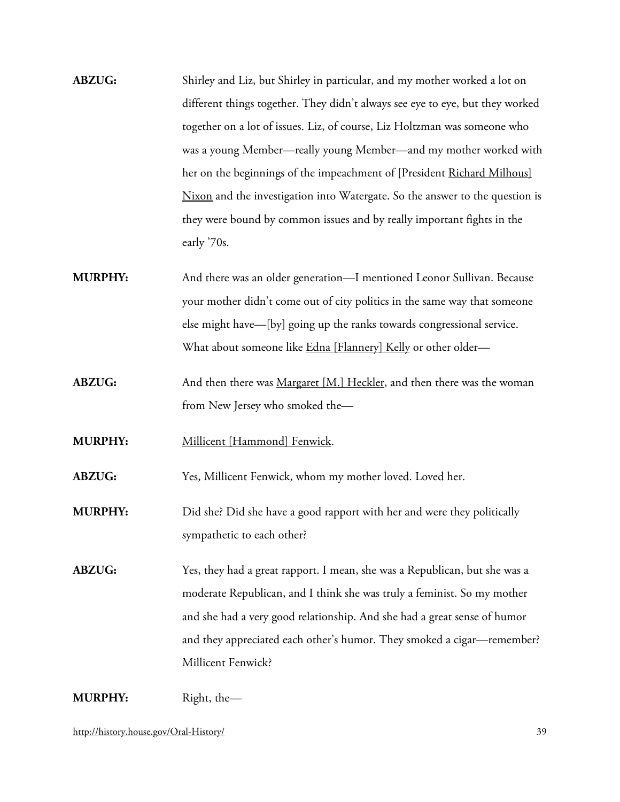- **ABZUG:** Shirley and Liz, but Shirley in particular, and my mother worked a lot on different things together. They didn't always see eye to eye, but they worked together on a lot of issues. Liz, of course, Liz Holtzman was someone who was a young Member—really young Member—and my mother worked with her on the beginnings of the impeachment of [President [Richard Milhous\]](http://bioguide.congress.gov/scripts/biodisplay.pl?index=N000116)  [Nixon](http://bioguide.congress.gov/scripts/biodisplay.pl?index=N000116) and the investigation into Watergate. So the answer to the question is they were bound by common issues and by really important fights in the early '70s.
- **MURPHY:** And there was an older generation—I mentioned Leonor Sullivan. Because your mother didn't come out of city politics in the same way that someone else might have—[by] going up the ranks towards congressional service. What about someone like [Edna \[Flannery\] Kelly](http://bioguide.congress.gov/scripts/biodisplay.pl?index=K000070) or other older-
- **ABZUG:** And then there was <u>Margaret [M.] Heckler</u>, and then there was the woman from New Jersey who smoked the—
- **MURPHY:** [Millicent \[Hammond\] Fenwick.](http://bioguide.congress.gov/scripts/biodisplay.pl?index=F000078)

**ABZUG:** Yes, Millicent Fenwick, whom my mother loved. Loved her.

- **MURPHY:** Did she? Did she have a good rapport with her and were they politically sympathetic to each other?
- **ABZUG:** Yes, they had a great rapport. I mean, she was a Republican, but she was a moderate Republican, and I think she was truly a feminist. So my mother and she had a very good relationship. And she had a great sense of humor and they appreciated each other's humor. They smoked a cigar—remember? Millicent Fenwick?

**MURPHY:** Right, the—

<http://history.house.gov/Oral-History/> 39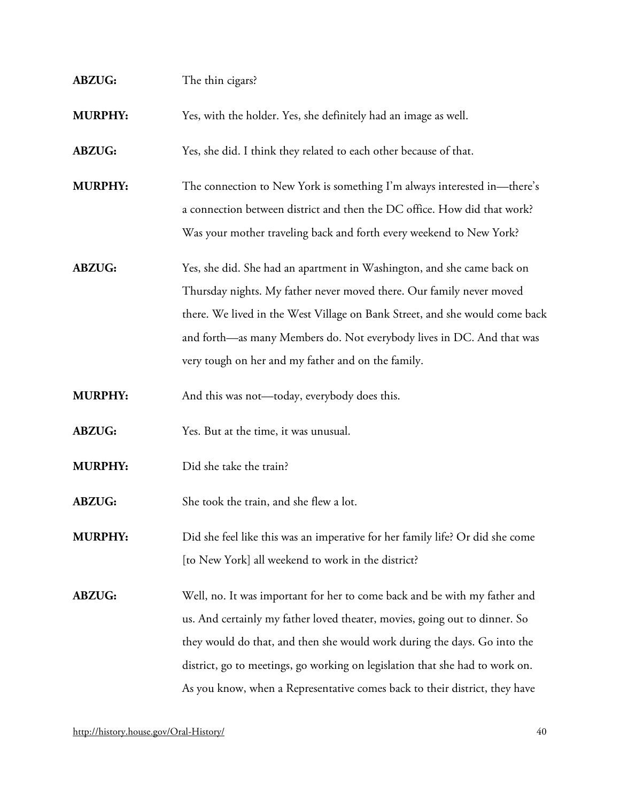| <b>ABZUG:</b>  | The thin cigars?                                                                                                                                                                                                                                                                                                                                                                                  |
|----------------|---------------------------------------------------------------------------------------------------------------------------------------------------------------------------------------------------------------------------------------------------------------------------------------------------------------------------------------------------------------------------------------------------|
| <b>MURPHY:</b> | Yes, with the holder. Yes, she definitely had an image as well.                                                                                                                                                                                                                                                                                                                                   |
| <b>ABZUG:</b>  | Yes, she did. I think they related to each other because of that.                                                                                                                                                                                                                                                                                                                                 |
| <b>MURPHY:</b> | The connection to New York is something I'm always interested in—there's<br>a connection between district and then the DC office. How did that work?<br>Was your mother traveling back and forth every weekend to New York?                                                                                                                                                                       |
| <b>ABZUG:</b>  | Yes, she did. She had an apartment in Washington, and she came back on<br>Thursday nights. My father never moved there. Our family never moved<br>there. We lived in the West Village on Bank Street, and she would come back<br>and forth—as many Members do. Not everybody lives in DC. And that was<br>very tough on her and my father and on the family.                                      |
| <b>MURPHY:</b> | And this was not-today, everybody does this.                                                                                                                                                                                                                                                                                                                                                      |
| <b>ABZUG:</b>  | Yes. But at the time, it was unusual.                                                                                                                                                                                                                                                                                                                                                             |
| <b>MURPHY:</b> | Did she take the train?                                                                                                                                                                                                                                                                                                                                                                           |
| <b>ABZUG:</b>  | She took the train, and she flew a lot.                                                                                                                                                                                                                                                                                                                                                           |
| <b>MURPHY:</b> | Did she feel like this was an imperative for her family life? Or did she come<br>[to New York] all weekend to work in the district?                                                                                                                                                                                                                                                               |
| <b>ABZUG:</b>  | Well, no. It was important for her to come back and be with my father and<br>us. And certainly my father loved theater, movies, going out to dinner. So<br>they would do that, and then she would work during the days. Go into the<br>district, go to meetings, go working on legislation that she had to work on.<br>As you know, when a Representative comes back to their district, they have |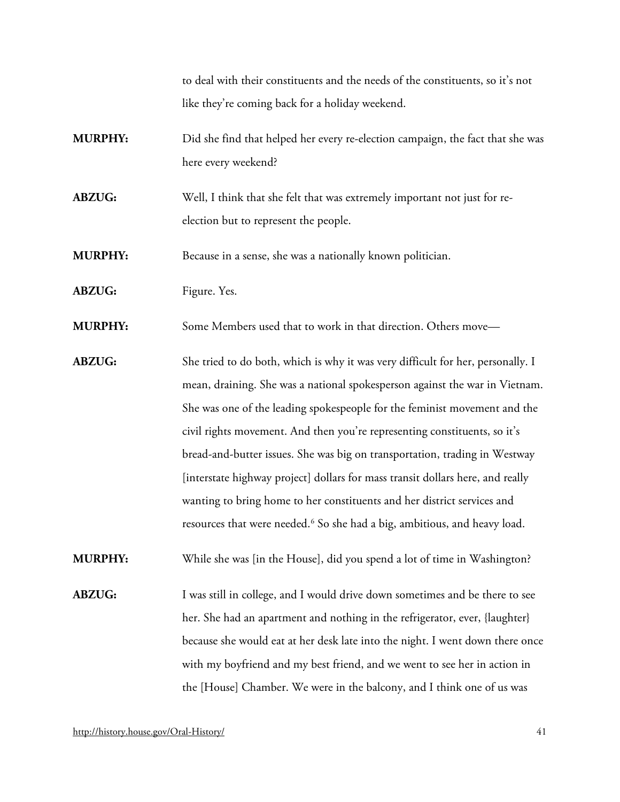to deal with their constituents and the needs of the constituents, so it's not like they're coming back for a holiday weekend.

- **MURPHY:** Did she find that helped her every re-election campaign, the fact that she was here every weekend?
- **ABZUG:** Well, I think that she felt that was extremely important not just for reelection but to represent the people.

**MURPHY:** Because in a sense, she was a nationally known politician.

#### ABZUG: Figure. Yes.

**MURPHY:** Some Members used that to work in that direction. Others move—

**ABZUG:** She tried to do both, which is why it was very difficult for her, personally. I mean, draining. She was a national spokesperson against the war in Vietnam. She was one of the leading spokespeople for the feminist movement and the civil rights movement. And then you're representing constituents, so it's bread-and-butter issues. She was big on transportation, trading in Westway [interstate highway project] dollars for mass transit dollars here, and really wanting to bring home to her constituents and her district services and resources that were needed.[6](#page-66-5) So she had a big, ambitious, and heavy load.

**MURPHY:** While she was [in the House], did you spend a lot of time in Washington?

**ABZUG:** I was still in college, and I would drive down sometimes and be there to see her. She had an apartment and nothing in the refrigerator, ever, {laughter} because she would eat at her desk late into the night. I went down there once with my boyfriend and my best friend, and we went to see her in action in the [House] Chamber. We were in the balcony, and I think one of us was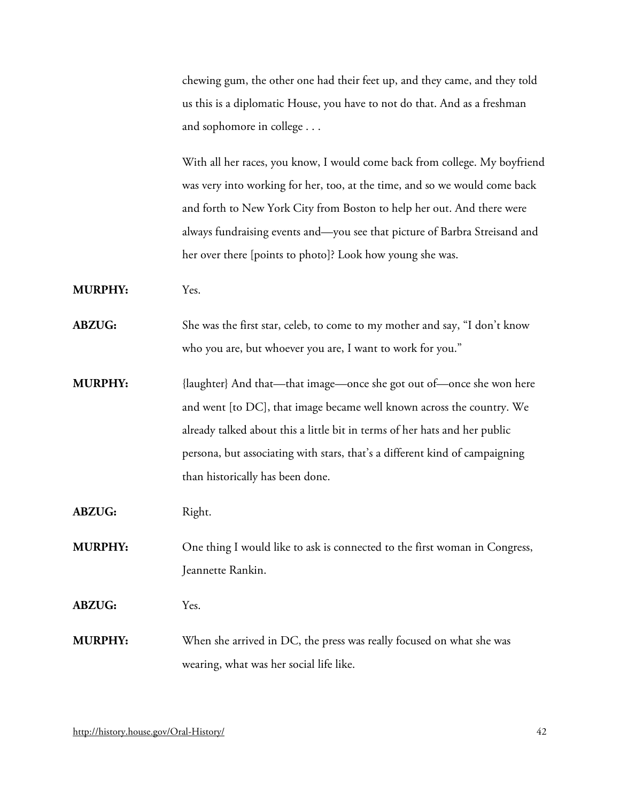chewing gum, the other one had their feet up, and they came, and they told us this is a diplomatic House, you have to not do that. And as a freshman and sophomore in college . . .

With all her races, you know, I would come back from college. My boyfriend was very into working for her, too, at the time, and so we would come back and forth to New York City from Boston to help her out. And there were always fundraising events and—you see that picture of Barbra Streisand and her over there [points to photo]? Look how young she was.

**MURPHY:** Yes.

**ABZUG:** She was the first star, celeb, to come to my mother and say, "I don't know who you are, but whoever you are, I want to work for you."

**MURPHY:** {laughter} And that—that image—once she got out of—once she won here and went [to DC], that image became well known across the country. We already talked about this a little bit in terms of her hats and her public persona, but associating with stars, that's a different kind of campaigning than historically has been done.

**ABZUG:** Right.

**MURPHY:** One thing I would like to ask is connected to the first woman in Congress, Jeannette Rankin.

**ABZUG:** Yes.

**MURPHY:** When she arrived in DC, the press was really focused on what she was wearing, what was her social life like.

<http://history.house.gov/Oral-History/> 42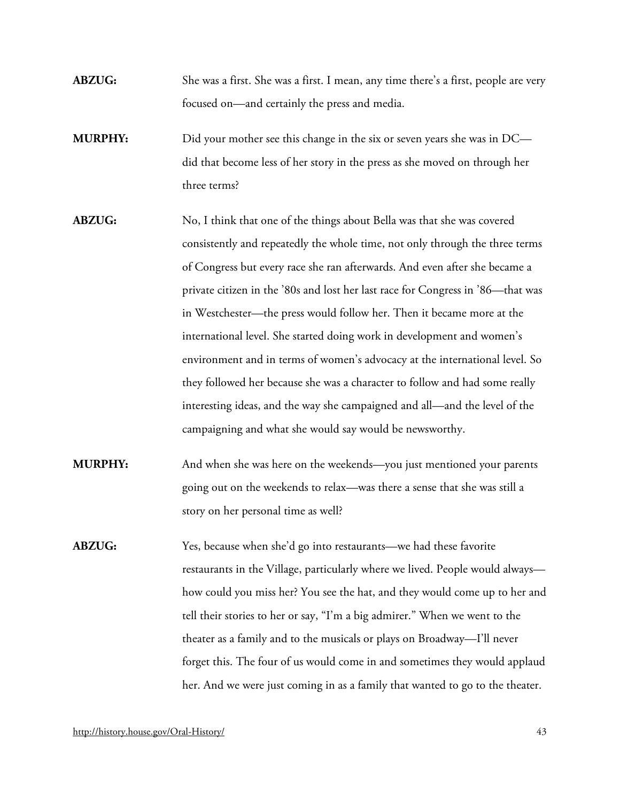- **ABZUG:** She was a first. She was a first. I mean, any time there's a first, people are very focused on—and certainly the press and media.
- **MURPHY:** Did your mother see this change in the six or seven years she was in DC did that become less of her story in the press as she moved on through her three terms?
- **ABZUG:** No, I think that one of the things about Bella was that she was covered consistently and repeatedly the whole time, not only through the three terms of Congress but every race she ran afterwards. And even after she became a private citizen in the '80s and lost her last race for Congress in '86—that was in Westchester—the press would follow her. Then it became more at the international level. She started doing work in development and women's environment and in terms of women's advocacy at the international level. So they followed her because she was a character to follow and had some really interesting ideas, and the way she campaigned and all—and the level of the campaigning and what she would say would be newsworthy.
- **MURPHY:** And when she was here on the weekends—you just mentioned your parents going out on the weekends to relax—was there a sense that she was still a story on her personal time as well?
- **ABZUG:** Yes, because when she'd go into restaurants—we had these favorite restaurants in the Village, particularly where we lived. People would always how could you miss her? You see the hat, and they would come up to her and tell their stories to her or say, "I'm a big admirer." When we went to the theater as a family and to the musicals or plays on Broadway—I'll never forget this. The four of us would come in and sometimes they would applaud her. And we were just coming in as a family that wanted to go to the theater.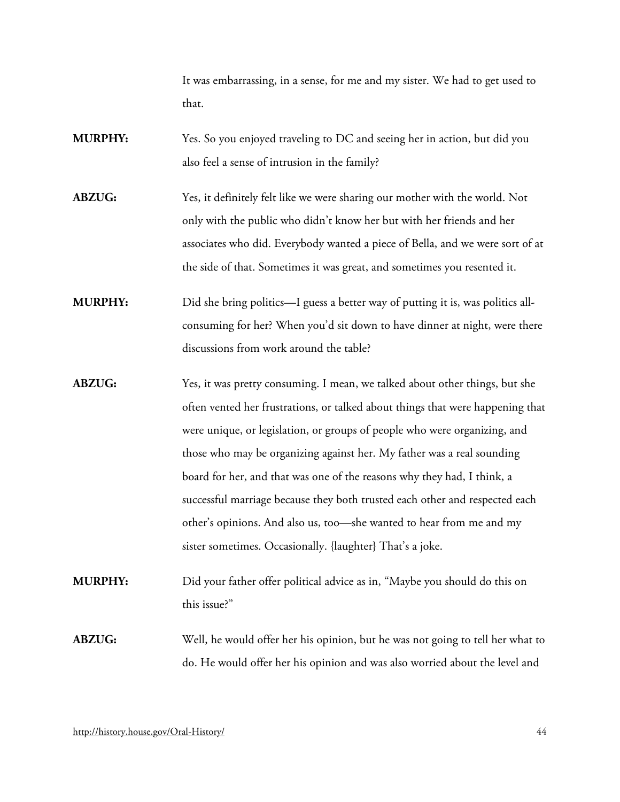It was embarrassing, in a sense, for me and my sister. We had to get used to that.

- **MURPHY:** Yes. So you enjoyed traveling to DC and seeing her in action, but did you also feel a sense of intrusion in the family?
- **ABZUG:** Yes, it definitely felt like we were sharing our mother with the world. Not only with the public who didn't know her but with her friends and her associates who did. Everybody wanted a piece of Bella, and we were sort of at the side of that. Sometimes it was great, and sometimes you resented it.
- **MURPHY:** Did she bring politics—I guess a better way of putting it is, was politics allconsuming for her? When you'd sit down to have dinner at night, were there discussions from work around the table?
- **ABZUG:** Yes, it was pretty consuming. I mean, we talked about other things, but she often vented her frustrations, or talked about things that were happening that were unique, or legislation, or groups of people who were organizing, and those who may be organizing against her. My father was a real sounding board for her, and that was one of the reasons why they had, I think, a successful marriage because they both trusted each other and respected each other's opinions. And also us, too—she wanted to hear from me and my sister sometimes. Occasionally. {laughter} That's a joke.
- **MURPHY:** Did your father offer political advice as in, "Maybe you should do this on this issue?"
- **ABZUG:** Well, he would offer her his opinion, but he was not going to tell her what to do. He would offer her his opinion and was also worried about the level and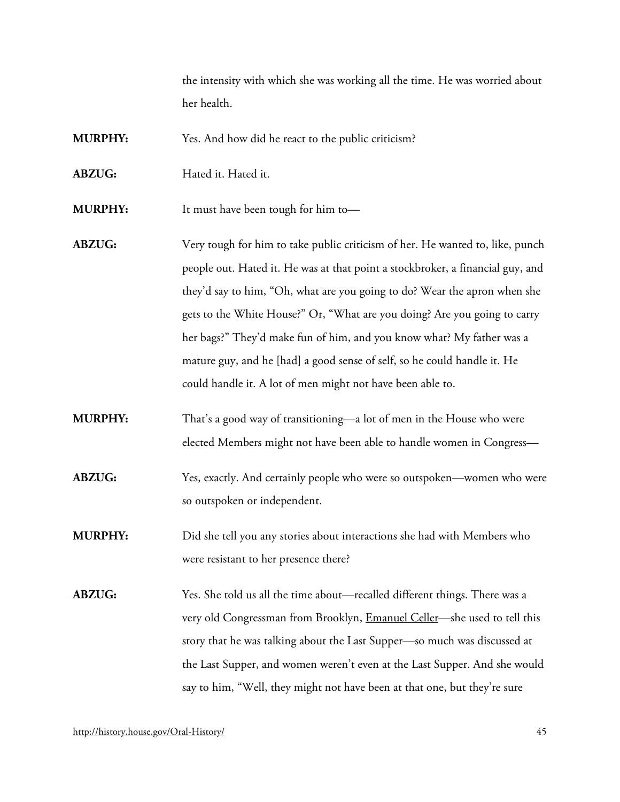the intensity with which she was working all the time. He was worried about her health.

**MURPHY:** Yes. And how did he react to the public criticism?

**ABZUG:** Hated it. Hated it.

**MURPHY:** It must have been tough for him to—

- **ABZUG:** Very tough for him to take public criticism of her. He wanted to, like, punch people out. Hated it. He was at that point a stockbroker, a financial guy, and they'd say to him, "Oh, what are you going to do? Wear the apron when she gets to the White House?" Or, "What are you doing? Are you going to carry her bags?" They'd make fun of him, and you know what? My father was a mature guy, and he [had] a good sense of self, so he could handle it. He could handle it. A lot of men might not have been able to.
- **MURPHY:** That's a good way of transitioning—a lot of men in the House who were elected Members might not have been able to handle women in Congress—
- **ABZUG:** Yes, exactly. And certainly people who were so outspoken—women who were so outspoken or independent.
- **MURPHY:** Did she tell you any stories about interactions she had with Members who were resistant to her presence there?

**ABZUG:** Yes. She told us all the time about—recalled different things. There was a very old Congressman from Brooklyn, [Emanuel Celler—](http://bioguide.congress.gov/scripts/biodisplay.pl?index=C000264)she used to tell this story that he was talking about the Last Supper—so much was discussed at the Last Supper, and women weren't even at the Last Supper. And she would say to him, "Well, they might not have been at that one, but they're sure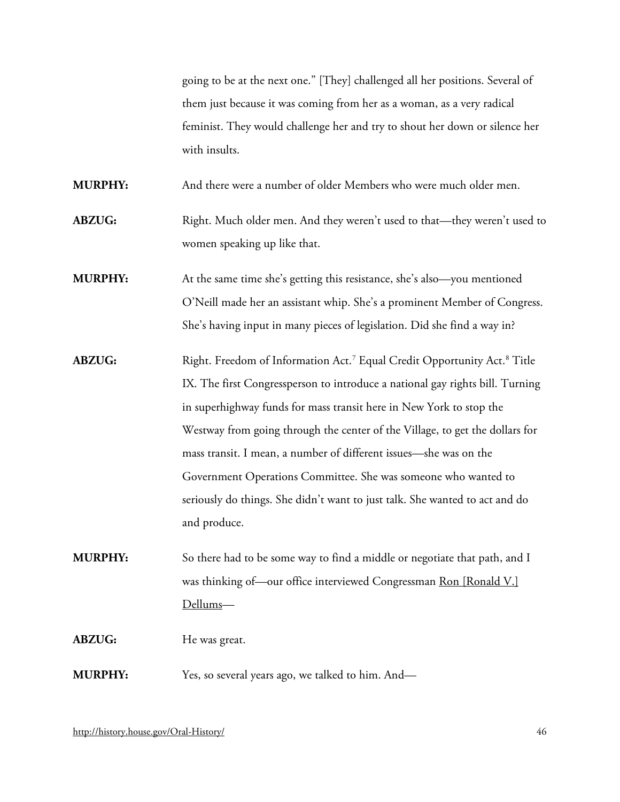going to be at the next one." [They] challenged all her positions. Several of them just because it was coming from her as a woman, as a very radical feminist. They would challenge her and try to shout her down or silence her with insults.

**MURPHY:** And there were a number of older Members who were much older men.

**ABZUG:** Right. Much older men. And they weren't used to that—they weren't used to women speaking up like that.

**MURPHY:** At the same time she's getting this resistance, she's also—you mentioned O'Neill made her an assistant whip. She's a prominent Member of Congress. She's having input in many pieces of legislation. Did she find a way in?

- **ABZUG:** Right. Freedom of Information Act.<sup>[7](#page-66-6)</sup> Equal Credit Opportunity Act.<sup>[8](#page-66-7)</sup> Title IX. The first Congressperson to introduce a national gay rights bill. Turning in superhighway funds for mass transit here in New York to stop the Westway from going through the center of the Village, to get the dollars for mass transit. I mean, a number of different issues—she was on the Government Operations Committee. She was someone who wanted to seriously do things. She didn't want to just talk. She wanted to act and do and produce.
- **MURPHY:** So there had to be some way to find a middle or negotiate that path, and I was thinking of—our office interviewed Congressman [Ron \[Ronald V.\]](https://bioguide.congress.gov/search/bio/D000222)  [Dellums—](https://bioguide.congress.gov/search/bio/D000222)

#### **ABZUG:** He was great.

**MURPHY:** Yes, so several years ago, we talked to him. And—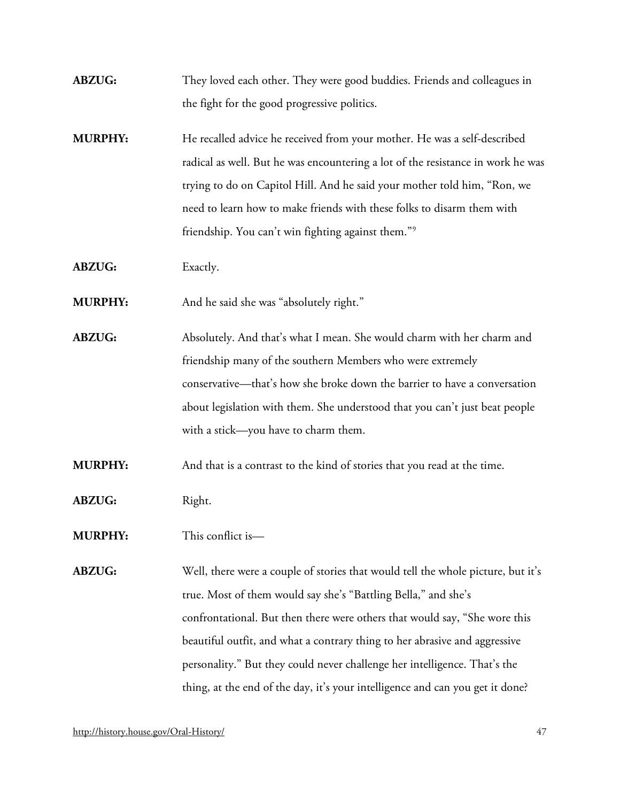- **ABZUG:** They loved each other. They were good buddies. Friends and colleagues in the fight for the good progressive politics.
- **MURPHY:** He recalled advice he received from your mother. He was a self-described radical as well. But he was encountering a lot of the resistance in work he was trying to do on Capitol Hill. And he said your mother told him, "Ron, we need to learn how to make friends with these folks to disarm them with friendship. You can't win fighting against them."[9](#page-66-8)
- **ABZUG:** Exactly.
- **MURPHY:** And he said she was "absolutely right."
- **ABZUG:** Absolutely. And that's what I mean. She would charm with her charm and friendship many of the southern Members who were extremely conservative—that's how she broke down the barrier to have a conversation about legislation with them. She understood that you can't just beat people with a stick—you have to charm them.
- **MURPHY:** And that is a contrast to the kind of stories that you read at the time.
- **ABZUG:** Right.
- **MURPHY:** This conflict is—
- **ABZUG:** Well, there were a couple of stories that would tell the whole picture, but it's true. Most of them would say she's "Battling Bella," and she's confrontational. But then there were others that would say, "She wore this beautiful outfit, and what a contrary thing to her abrasive and aggressive personality." But they could never challenge her intelligence. That's the thing, at the end of the day, it's your intelligence and can you get it done?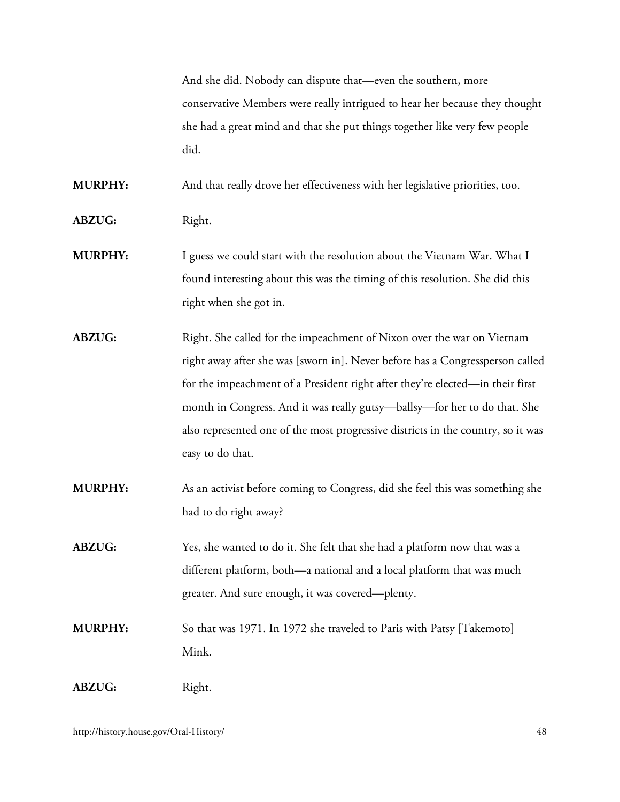And she did. Nobody can dispute that—even the southern, more conservative Members were really intrigued to hear her because they thought she had a great mind and that she put things together like very few people did.

**MURPHY:** And that really drove her effectiveness with her legislative priorities, too.

ABZUG: Right.

- **MURPHY:** I guess we could start with the resolution about the Vietnam War. What I found interesting about this was the timing of this resolution. She did this right when she got in.
- **ABZUG:** Right. She called for the impeachment of Nixon over the war on Vietnam right away after she was [sworn in]. Never before has a Congressperson called for the impeachment of a President right after they're elected—in their first month in Congress. And it was really gutsy—ballsy—for her to do that. She also represented one of the most progressive districts in the country, so it was easy to do that.
- **MURPHY:** As an activist before coming to Congress, did she feel this was something she had to do right away?
- **ABZUG:** Yes, she wanted to do it. She felt that she had a platform now that was a different platform, both—a national and a local platform that was much greater. And sure enough, it was covered—plenty.
- **MURPHY:** So that was 1971. In 1972 she traveled to Paris with **Patsy [Takemoto]** [Mink.](http://bioguide.congress.gov/scripts/biodisplay.pl?index=M000797)

ABZUG: Right.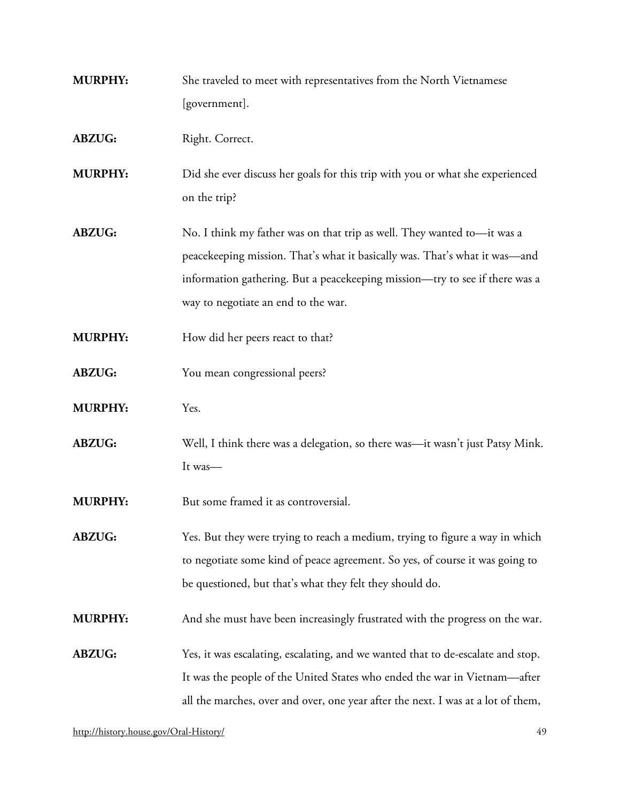- **MURPHY:** She traveled to meet with representatives from the North Vietnamese [government].
- ABZUG: Right. Correct.
- **MURPHY:** Did she ever discuss her goals for this trip with you or what she experienced on the trip?
- **ABZUG:** No. I think my father was on that trip as well. They wanted to—it was a peacekeeping mission. That's what it basically was. That's what it was—and information gathering. But a peacekeeping mission—try to see if there was a way to negotiate an end to the war.
- **MURPHY:** How did her peers react to that?
- ABZUG: You mean congressional peers?
- **MURPHY:** Yes.
- **ABZUG:** Well, I think there was a delegation, so there was—it wasn't just Patsy Mink. It was—
- **MURPHY:** But some framed it as controversial.
- **ABZUG:** Yes. But they were trying to reach a medium, trying to figure a way in which to negotiate some kind of peace agreement. So yes, of course it was going to be questioned, but that's what they felt they should do.
- **MURPHY:** And she must have been increasingly frustrated with the progress on the war.
- **ABZUG:** Yes, it was escalating, escalating, and we wanted that to de-escalate and stop. It was the people of the United States who ended the war in Vietnam—after all the marches, over and over, one year after the next. I was at a lot of them,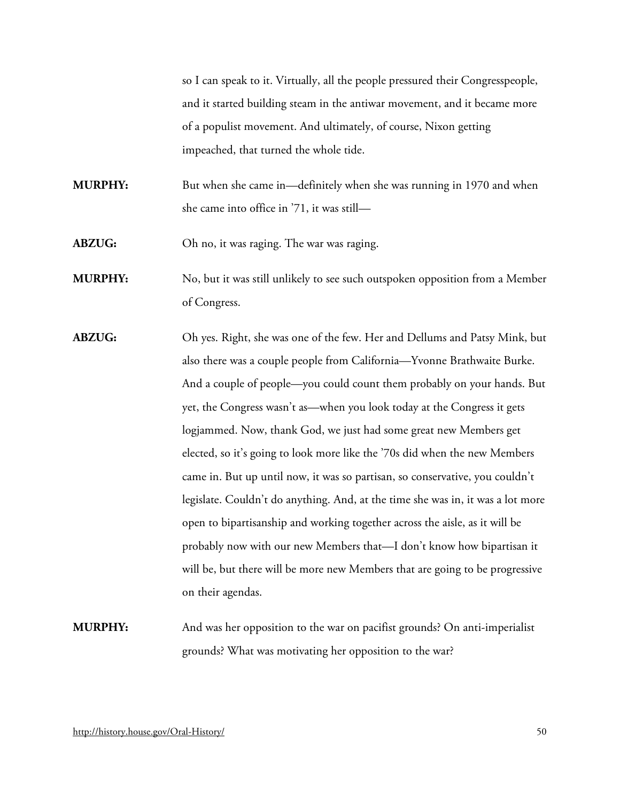so I can speak to it. Virtually, all the people pressured their Congresspeople, and it started building steam in the antiwar movement, and it became more of a populist movement. And ultimately, of course, Nixon getting impeached, that turned the whole tide.

**MURPHY:** But when she came in—definitely when she was running in 1970 and when she came into office in '71, it was still—

**ABZUG:** Oh no, it was raging. The war was raging.

**MURPHY:** No, but it was still unlikely to see such outspoken opposition from a Member of Congress.

**ABZUG:** Oh yes. Right, she was one of the few. Her and Dellums and Patsy Mink, but also there was a couple people from California—Yvonne Brathwaite Burke. And a couple of people—you could count them probably on your hands. But yet, the Congress wasn't as—when you look today at the Congress it gets logjammed. Now, thank God, we just had some great new Members get elected, so it's going to look more like the '70s did when the new Members came in. But up until now, it was so partisan, so conservative, you couldn't legislate. Couldn't do anything. And, at the time she was in, it was a lot more open to bipartisanship and working together across the aisle, as it will be probably now with our new Members that—I don't know how bipartisan it will be, but there will be more new Members that are going to be progressive on their agendas.

**MURPHY:** And was her opposition to the war on pacifist grounds? On anti-imperialist grounds? What was motivating her opposition to the war?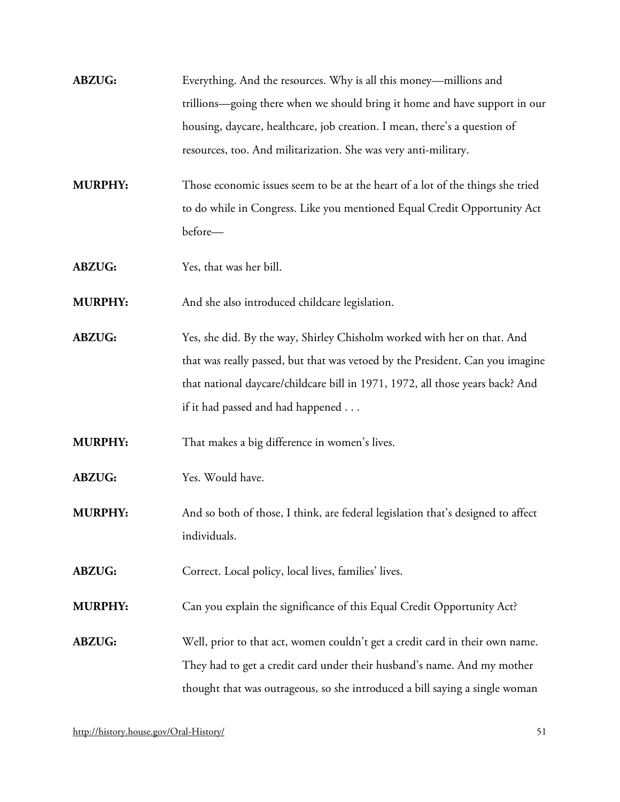| <b>ABZUG:</b> | Everything. And the resources. Why is all this money—millions and          |
|---------------|----------------------------------------------------------------------------|
|               | trillions—going there when we should bring it home and have support in our |
|               | housing, daycare, healthcare, job creation. I mean, there's a question of  |
|               | resources, too. And militarization. She was very anti-military.            |

**MURPHY:** Those economic issues seem to be at the heart of a lot of the things she tried to do while in Congress. Like you mentioned Equal Credit Opportunity Act before—

**ABZUG:** Yes, that was her bill.

**MURPHY:** And she also introduced childcare legislation.

**ABZUG:** Yes, she did. By the way, Shirley Chisholm worked with her on that. And that was really passed, but that was vetoed by the President. Can you imagine that national daycare/childcare bill in 1971, 1972, all those years back? And if it had passed and had happened . . .

**MURPHY:** That makes a big difference in women's lives.

**ABZUG:** Yes. Would have.

**MURPHY:** And so both of those, I think, are federal legislation that's designed to affect individuals.

ABZUG: Correct. Local policy, local lives, families' lives.

**MURPHY:** Can you explain the significance of this Equal Credit Opportunity Act?

**ABZUG:** Well, prior to that act, women couldn't get a credit card in their own name. They had to get a credit card under their husband's name. And my mother thought that was outrageous, so she introduced a bill saying a single woman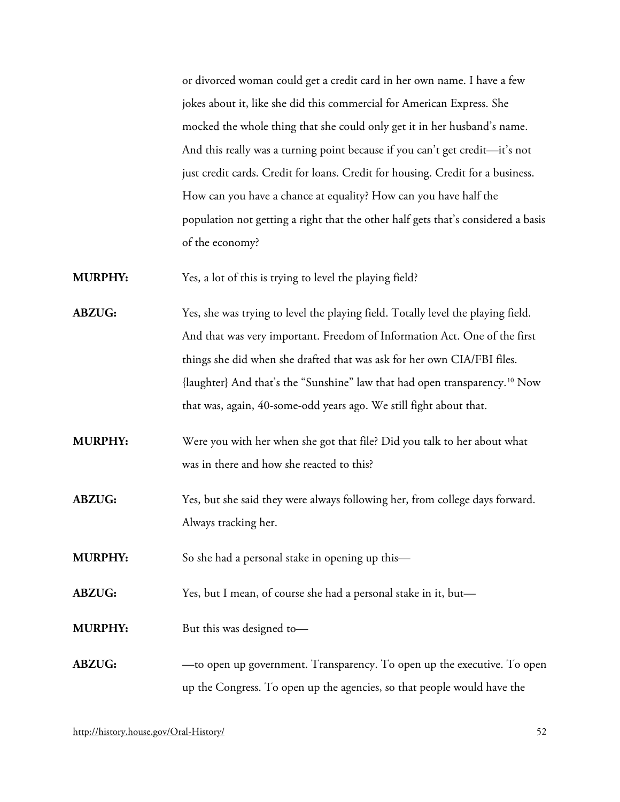or divorced woman could get a credit card in her own name. I have a few jokes about it, like she did this commercial for American Express. She mocked the whole thing that she could only get it in her husband's name. And this really was a turning point because if you can't get credit—it's not just credit cards. Credit for loans. Credit for housing. Credit for a business. How can you have a chance at equality? How can you have half the population not getting a right that the other half gets that's considered a basis of the economy?

**MURPHY:** Yes, a lot of this is trying to level the playing field?

- **ABZUG:** Yes, she was trying to level the playing field. Totally level the playing field. And that was very important. Freedom of Information Act. One of the first things she did when she drafted that was ask for her own CIA/FBI files. {laughter} And that's the "Sunshine" law that had open transparency.[10](#page-66-9) Now that was, again, 40-some-odd years ago. We still fight about that.
- **MURPHY:** Were you with her when she got that file? Did you talk to her about what was in there and how she reacted to this?
- **ABZUG:** Yes, but she said they were always following her, from college days forward. Always tracking her.

**MURPHY:** So she had a personal stake in opening up this—

**ABZUG:** Yes, but I mean, of course she had a personal stake in it, but—

**MURPHY:** But this was designed to-

# **ABZUG:** —to open up government. Transparency. To open up the executive. To open up the Congress. To open up the agencies, so that people would have the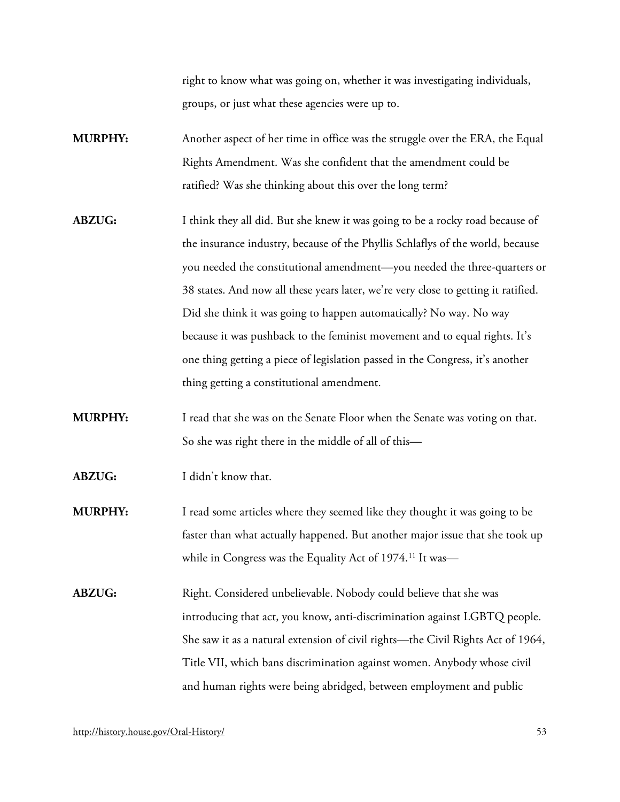right to know what was going on, whether it was investigating individuals, groups, or just what these agencies were up to.

- **MURPHY:** Another aspect of her time in office was the struggle over the ERA, the Equal Rights Amendment. Was she confident that the amendment could be ratified? Was she thinking about this over the long term?
- **ABZUG:** I think they all did. But she knew it was going to be a rocky road because of the insurance industry, because of the Phyllis Schlaflys of the world, because you needed the constitutional amendment—you needed the three-quarters or 38 states. And now all these years later, we're very close to getting it ratified. Did she think it was going to happen automatically? No way. No way because it was pushback to the feminist movement and to equal rights. It's one thing getting a piece of legislation passed in the Congress, it's another thing getting a constitutional amendment.
- **MURPHY:** I read that she was on the Senate Floor when the Senate was voting on that. So she was right there in the middle of all of this—
- **ABZUG:** I didn't know that.
- **MURPHY:** I read some articles where they seemed like they thought it was going to be faster than what actually happened. But another major issue that she took up while in Congress was the Equality Act of 1974.<sup>[11](#page-66-10)</sup> It was—
- ABZUG: Right. Considered unbelievable. Nobody could believe that she was introducing that act, you know, anti-discrimination against LGBTQ people. She saw it as a natural extension of civil rights—the Civil Rights Act of 1964, Title VII, which bans discrimination against women. Anybody whose civil and human rights were being abridged, between employment and public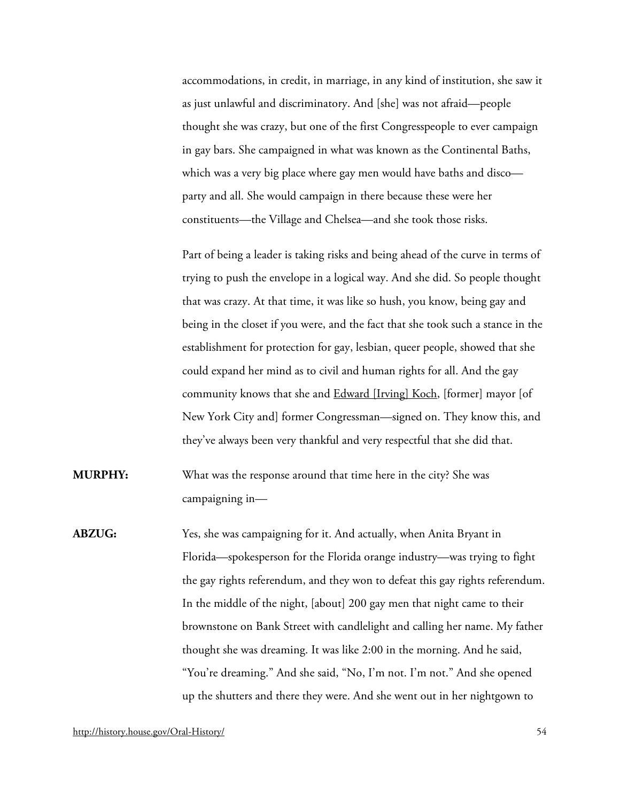accommodations, in credit, in marriage, in any kind of institution, she saw it as just unlawful and discriminatory. And [she] was not afraid—people thought she was crazy, but one of the first Congresspeople to ever campaign in gay bars. She campaigned in what was known as the Continental Baths, which was a very big place where gay men would have baths and disco party and all. She would campaign in there because these were her constituents—the Village and Chelsea—and she took those risks.

Part of being a leader is taking risks and being ahead of the curve in terms of trying to push the envelope in a logical way. And she did. So people thought that was crazy. At that time, it was like so hush, you know, being gay and being in the closet if you were, and the fact that she took such a stance in the establishment for protection for gay, lesbian, queer people, showed that she could expand her mind as to civil and human rights for all. And the gay community knows that she and **Edward [Irving] Koch**, [former] mayor [of New York City and] former Congressman—signed on. They know this, and they've always been very thankful and very respectful that she did that.

- **MURPHY:** What was the response around that time here in the city? She was campaigning in—
- **ABZUG:** Yes, she was campaigning for it. And actually, when Anita Bryant in Florida—spokesperson for the Florida orange industry—was trying to fight the gay rights referendum, and they won to defeat this gay rights referendum. In the middle of the night, [about] 200 gay men that night came to their brownstone on Bank Street with candlelight and calling her name. My father thought she was dreaming. It was like 2:00 in the morning. And he said, "You're dreaming." And she said, "No, I'm not. I'm not." And she opened up the shutters and there they were. And she went out in her nightgown to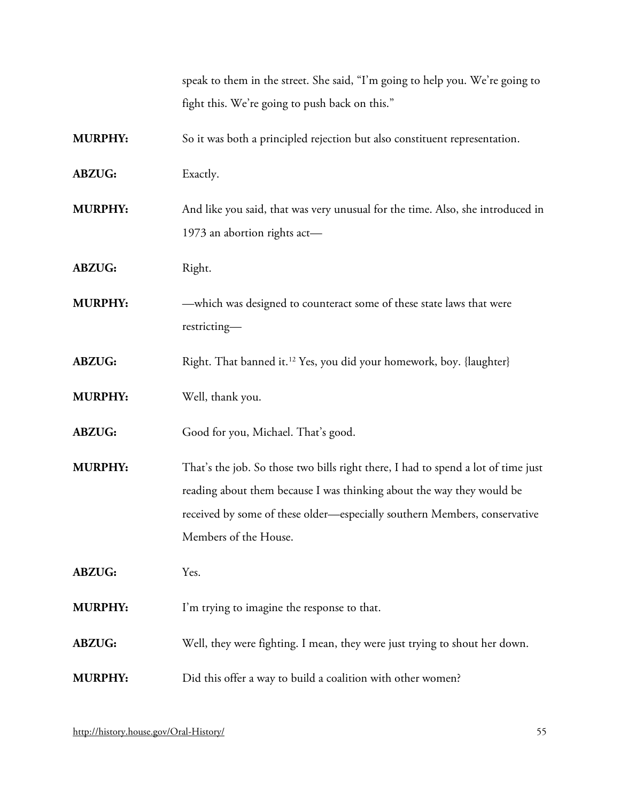speak to them in the street. She said, "I'm going to help you. We're going to fight this. We're going to push back on this."

**MURPHY:** So it was both a principled rejection but also constituent representation.

**ABZUG:** Exactly.

**MURPHY:** And like you said, that was very unusual for the time. Also, she introduced in 1973 an abortion rights act—

ABZUG: Right.

**MURPHY:** —which was designed to counteract some of these state laws that were restricting—

**ABZUG:** Right. That banned it.<sup>[12](#page-66-11)</sup> Yes, you did your homework, boy. {laughter}

**MURPHY:** Well, thank you.

**ABZUG:** Good for you, Michael. That's good.

**MURPHY:** That's the job. So those two bills right there, I had to spend a lot of time just reading about them because I was thinking about the way they would be received by some of these older—especially southern Members, conservative Members of the House.

**ABZUG:** Yes.

**MURPHY:** I'm trying to imagine the response to that.

**ABZUG:** Well, they were fighting. I mean, they were just trying to shout her down.

**MURPHY:** Did this offer a way to build a coalition with other women?

<http://history.house.gov/Oral-History/> 55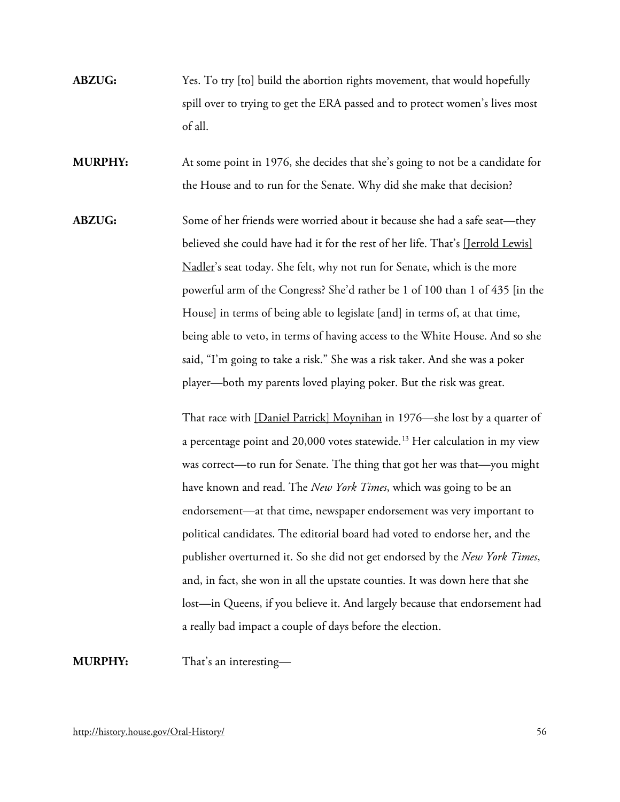- **ABZUG:** Yes. To try [to] build the abortion rights movement, that would hopefully spill over to trying to get the ERA passed and to protect women's lives most of all.
- **MURPHY:** At some point in 1976, she decides that she's going to not be a candidate for the House and to run for the Senate. Why did she make that decision?
- **ABZUG:** Some of her friends were worried about it because she had a safe seat—they believed she could have had it for the rest of her life. That's [\[Jerrold Lewis\]](http://bioguide.congress.gov/scripts/biodisplay.pl?index=N000002)  [Nadler'](http://bioguide.congress.gov/scripts/biodisplay.pl?index=N000002)s seat today. She felt, why not run for Senate, which is the more powerful arm of the Congress? She'd rather be 1 of 100 than 1 of 435 [in the House] in terms of being able to legislate [and] in terms of, at that time, being able to veto, in terms of having access to the White House. And so she said, "I'm going to take a risk." She was a risk taker. And she was a poker player—both my parents loved playing poker. But the risk was great.

That race with [\[Daniel Patrick\] Moynihan](http://bioguide.congress.gov/scripts/biodisplay.pl?index=M001054) in 1976—she lost by a quarter of a percentage point and 20,000 votes statewide.<sup>[13](#page-66-12)</sup> Her calculation in my view was correct—to run for Senate. The thing that got her was that—you might have known and read. The *New York Times*, which was going to be an endorsement—at that time, newspaper endorsement was very important to political candidates. The editorial board had voted to endorse her, and the publisher overturned it. So she did not get endorsed by the *New York Times*, and, in fact, she won in all the upstate counties. It was down here that she lost—in Queens, if you believe it. And largely because that endorsement had a really bad impact a couple of days before the election.

**MURPHY:** That's an interesting—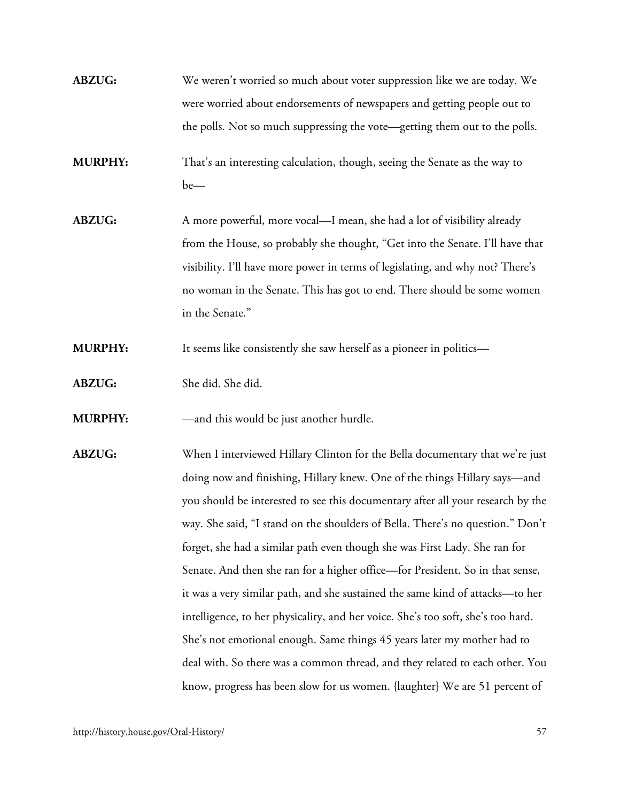- **ABZUG:** We weren't worried so much about voter suppression like we are today. We were worried about endorsements of newspapers and getting people out to the polls. Not so much suppressing the vote—getting them out to the polls.
- **MURPHY:** That's an interesting calculation, though, seeing the Senate as the way to be—
- **ABZUG:** A more powerful, more vocal—I mean, she had a lot of visibility already from the House, so probably she thought, "Get into the Senate. I'll have that visibility. I'll have more power in terms of legislating, and why not? There's no woman in the Senate. This has got to end. There should be some women in the Senate."
- **MURPHY:** It seems like consistently she saw herself as a pioneer in politics—
- **ABZUG:** She did. She did.
- **MURPHY:** —and this would be just another hurdle.
- **ABZUG:** When I interviewed Hillary Clinton for the Bella documentary that we're just doing now and finishing, Hillary knew. One of the things Hillary says—and you should be interested to see this documentary after all your research by the way. She said, "I stand on the shoulders of Bella. There's no question." Don't forget, she had a similar path even though she was First Lady. She ran for Senate. And then she ran for a higher office—for President. So in that sense, it was a very similar path, and she sustained the same kind of attacks—to her intelligence, to her physicality, and her voice. She's too soft, she's too hard. She's not emotional enough. Same things 45 years later my mother had to deal with. So there was a common thread, and they related to each other. You know, progress has been slow for us women. {laughter} We are 51 percent of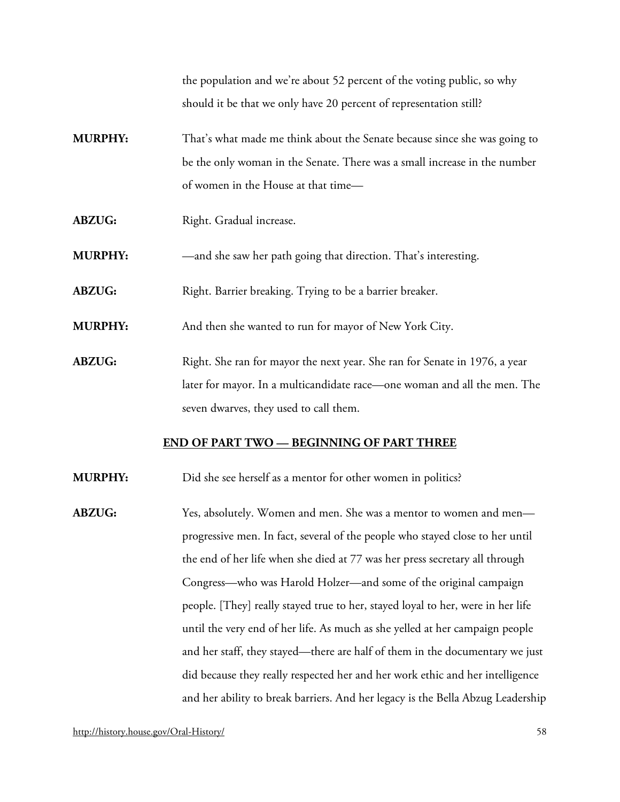the population and we're about 52 percent of the voting public, so why should it be that we only have 20 percent of representation still?

- **MURPHY:** That's what made me think about the Senate because since she was going to be the only woman in the Senate. There was a small increase in the number of women in the House at that time—
- ABZUG: Right. Gradual increase.
- **MURPHY:** —and she saw her path going that direction. That's interesting.
- ABZUG: Right. Barrier breaking. Trying to be a barrier breaker.
- **MURPHY:** And then she wanted to run for mayor of New York City.
- **ABZUG:** Right. She ran for mayor the next year. She ran for Senate in 1976, a year later for mayor. In a multicandidate race—one woman and all the men. The seven dwarves, they used to call them.

#### **END OF PART TWO — BEGINNING OF PART THREE**

- **MURPHY:** Did she see herself as a mentor for other women in politics?
- **ABZUG:** Yes, absolutely. Women and men. She was a mentor to women and men progressive men. In fact, several of the people who stayed close to her until the end of her life when she died at 77 was her press secretary all through Congress—who was Harold Holzer—and some of the original campaign people. [They] really stayed true to her, stayed loyal to her, were in her life until the very end of her life. As much as she yelled at her campaign people and her staff, they stayed—there are half of them in the documentary we just did because they really respected her and her work ethic and her intelligence and her ability to break barriers. And her legacy is the Bella Abzug Leadership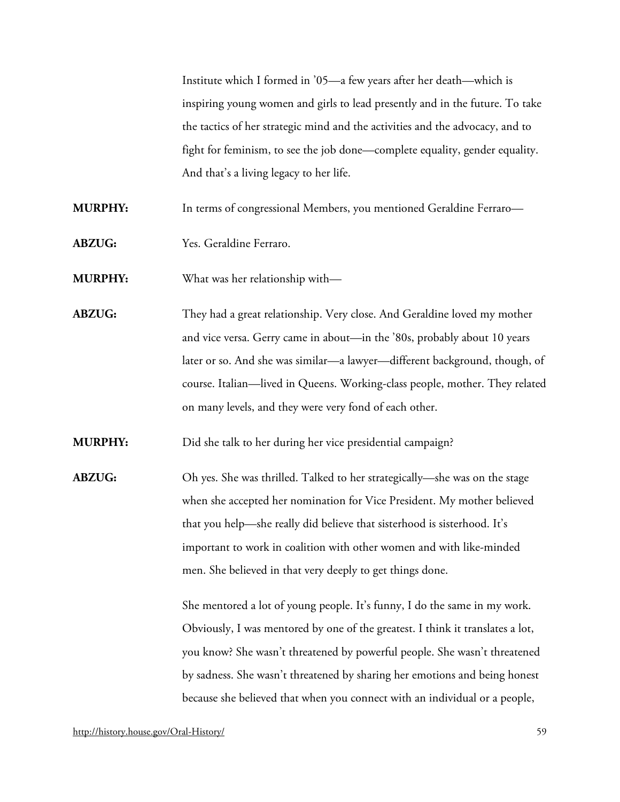Institute which I formed in '05—a few years after her death—which is inspiring young women and girls to lead presently and in the future. To take the tactics of her strategic mind and the activities and the advocacy, and to fight for feminism, to see the job done—complete equality, gender equality. And that's a living legacy to her life.

**MURPHY:** In terms of congressional Members, you mentioned Geraldine Ferraro—

**ABZUG:** Yes. Geraldine Ferraro.

**MURPHY:** What was her relationship with—

**ABZUG:** They had a great relationship. Very close. And Geraldine loved my mother and vice versa. Gerry came in about—in the '80s, probably about 10 years later or so. And she was similar—a lawyer—different background, though, of course. Italian—lived in Queens. Working-class people, mother. They related on many levels, and they were very fond of each other.

**MURPHY:** Did she talk to her during her vice presidential campaign?

**ABZUG:** Oh yes. She was thrilled. Talked to her strategically—she was on the stage when she accepted her nomination for Vice President. My mother believed that you help—she really did believe that sisterhood is sisterhood. It's important to work in coalition with other women and with like-minded men. She believed in that very deeply to get things done.

> She mentored a lot of young people. It's funny, I do the same in my work. Obviously, I was mentored by one of the greatest. I think it translates a lot, you know? She wasn't threatened by powerful people. She wasn't threatened by sadness. She wasn't threatened by sharing her emotions and being honest because she believed that when you connect with an individual or a people,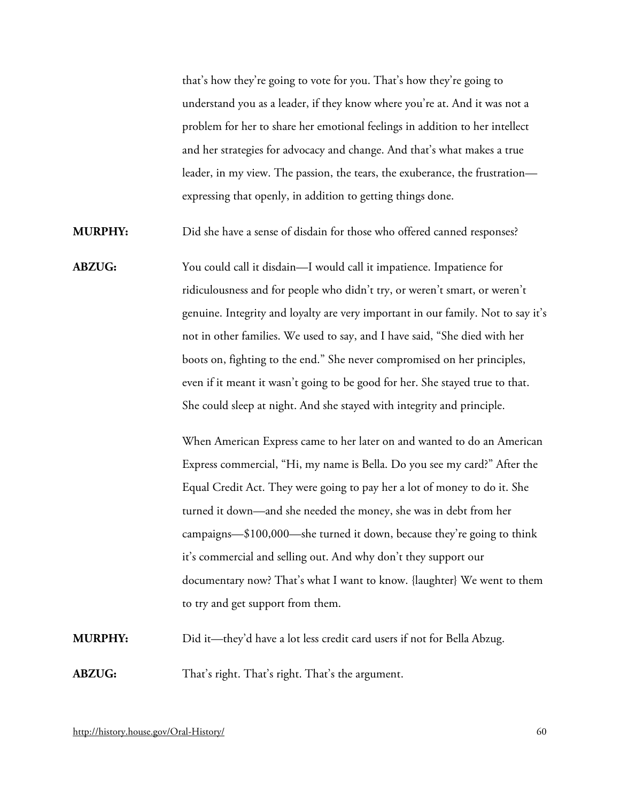that's how they're going to vote for you. That's how they're going to understand you as a leader, if they know where you're at. And it was not a problem for her to share her emotional feelings in addition to her intellect and her strategies for advocacy and change. And that's what makes a true leader, in my view. The passion, the tears, the exuberance, the frustration expressing that openly, in addition to getting things done.

**MURPHY:** Did she have a sense of disdain for those who offered canned responses?

**ABZUG:** You could call it disdain—I would call it impatience. Impatience for ridiculousness and for people who didn't try, or weren't smart, or weren't genuine. Integrity and loyalty are very important in our family. Not to say it's not in other families. We used to say, and I have said, "She died with her boots on, fighting to the end." She never compromised on her principles, even if it meant it wasn't going to be good for her. She stayed true to that. She could sleep at night. And she stayed with integrity and principle.

> When American Express came to her later on and wanted to do an American Express commercial, "Hi, my name is Bella. Do you see my card?" After the Equal Credit Act. They were going to pay her a lot of money to do it. She turned it down—and she needed the money, she was in debt from her campaigns—\$100,000—she turned it down, because they're going to think it's commercial and selling out. And why don't they support our documentary now? That's what I want to know. {laughter} We went to them to try and get support from them.

**MURPHY:** Did it—they'd have a lot less credit card users if not for Bella Abzug. **ABZUG:** That's right. That's right. That's the argument.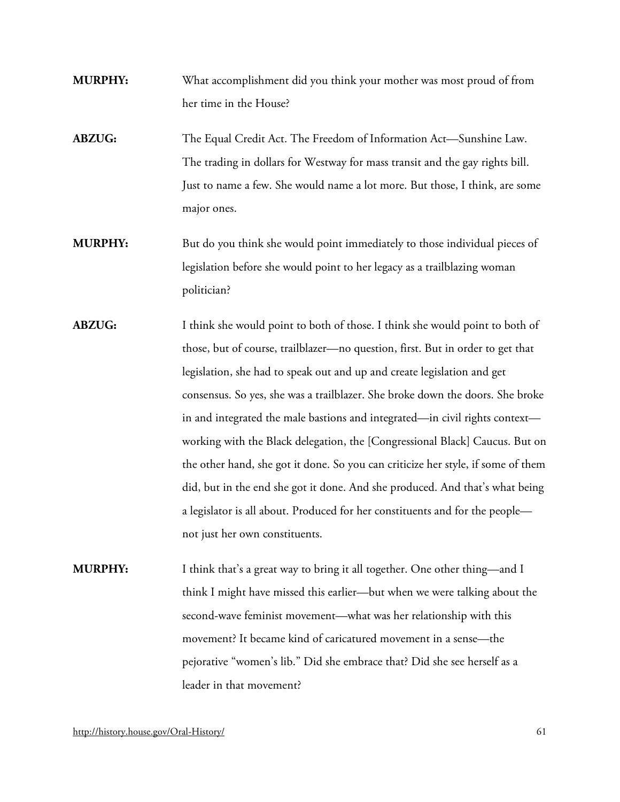- **MURPHY:** What accomplishment did you think your mother was most proud of from her time in the House?
- **ABZUG:** The Equal Credit Act. The Freedom of Information Act—Sunshine Law. The trading in dollars for Westway for mass transit and the gay rights bill. Just to name a few. She would name a lot more. But those, I think, are some major ones.
- **MURPHY:** But do you think she would point immediately to those individual pieces of legislation before she would point to her legacy as a trailblazing woman politician?
- **ABZUG:** I think she would point to both of those. I think she would point to both of those, but of course, trailblazer—no question, first. But in order to get that legislation, she had to speak out and up and create legislation and get consensus. So yes, she was a trailblazer. She broke down the doors. She broke in and integrated the male bastions and integrated—in civil rights context working with the Black delegation, the [Congressional Black] Caucus. But on the other hand, she got it done. So you can criticize her style, if some of them did, but in the end she got it done. And she produced. And that's what being a legislator is all about. Produced for her constituents and for the people not just her own constituents.
- **MURPHY:** I think that's a great way to bring it all together. One other thing—and I think I might have missed this earlier—but when we were talking about the second-wave feminist movement—what was her relationship with this movement? It became kind of caricatured movement in a sense—the pejorative "women's lib." Did she embrace that? Did she see herself as a leader in that movement?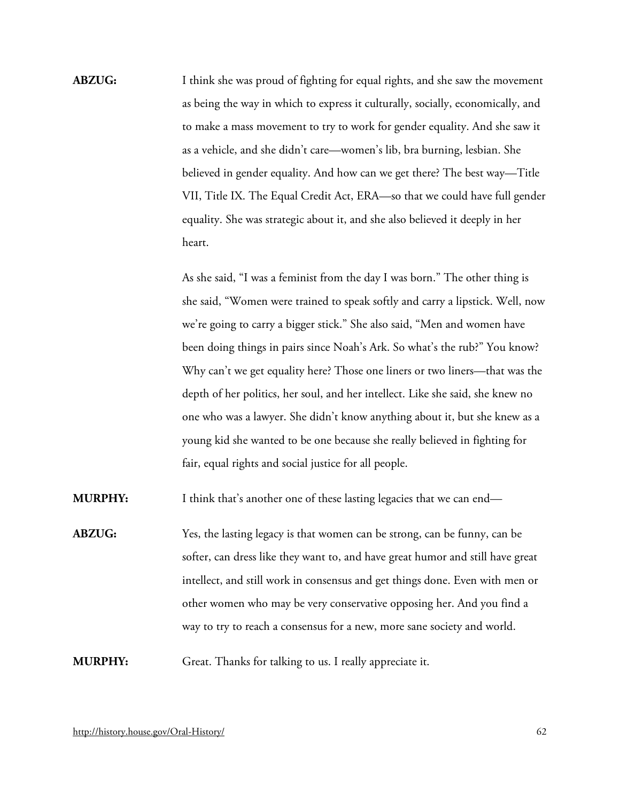**ABZUG:** I think she was proud of fighting for equal rights, and she saw the movement as being the way in which to express it culturally, socially, economically, and to make a mass movement to try to work for gender equality. And she saw it as a vehicle, and she didn't care—women's lib, bra burning, lesbian. She believed in gender equality. And how can we get there? The best way—Title VII, Title IX. The Equal Credit Act, ERA—so that we could have full gender equality. She was strategic about it, and she also believed it deeply in her heart.

> As she said, "I was a feminist from the day I was born." The other thing is she said, "Women were trained to speak softly and carry a lipstick. Well, now we're going to carry a bigger stick." She also said, "Men and women have been doing things in pairs since Noah's Ark. So what's the rub?" You know? Why can't we get equality here? Those one liners or two liners—that was the depth of her politics, her soul, and her intellect. Like she said, she knew no one who was a lawyer. She didn't know anything about it, but she knew as a young kid she wanted to be one because she really believed in fighting for fair, equal rights and social justice for all people.

**MURPHY:** I think that's another one of these lasting legacies that we can end—

**ABZUG:** Yes, the lasting legacy is that women can be strong, can be funny, can be softer, can dress like they want to, and have great humor and still have great intellect, and still work in consensus and get things done. Even with men or other women who may be very conservative opposing her. And you find a way to try to reach a consensus for a new, more sane society and world.

**MURPHY:** Great. Thanks for talking to us. I really appreciate it.